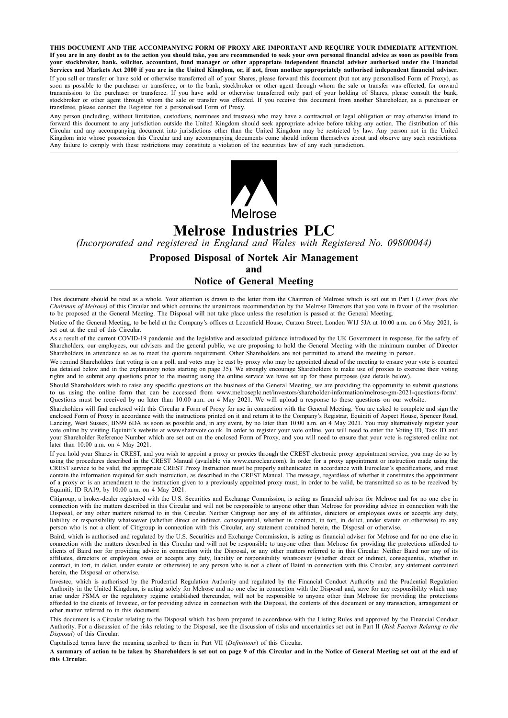**THIS DOCUMENT AND THE ACCOMPANYING FORM OF PROXY ARE IMPORTANT AND REQUIRE YOUR IMMEDIATE ATTENTION.** If you are in any doubt as to the action you should take, you are recommended to seek your own personal financial advice as soon as possible from your stockbroker, bank, solicitor, accountant, fund manager or other appropriate independent financial adviser authorised under the Financial Services and Markets Act 2000 if you are in the United Kingdom, or, if not, from another appropriately authorised independent financial adviser. If you sell or transfer or have sold or otherwise transferred all of your Shares, please forward this document (but not any personalised Form of Proxy), as soon as possible to the purchaser or transferee, or to the bank, stockbroker or other agent through whom the sale or transfer was effected, for onward transmission to the purchaser or transferee. If you have sold or otherwise transferred only part of your holding of Shares, please consult the bank, stockbroker or other agent through whom the sale or transfer was effected. If you receive this document from another Shareholder, as a purchaser or transferee, please contact the Registrar for a personalised Form of Proxy.

Any person (including, without limitation, custodians, nominees and trustees) who may have a contractual or legal obligation or may otherwise intend to forward this document to any jurisdiction outside the United Kingdom should seek appropriate advice before taking any action. The distribution of this Circular and any accompanying document into jurisdictions other than the United Kingdom may be restricted by law. Any person not in the United Kingdom into whose possession this Circular and any accompanying documents come should inform themselves about and observe any such restrictions. Any failure to comply with these restrictions may constitute a violation of the securities law of any such jurisdiction.



# **Melrose Industries PLC**

*(Incorporated and registered in England and Wales with Registered No. 09800044)*

## **Proposed Disposal of Nortek Air Management**

**and**

## **Notice of General Meeting**

This document should be read as a whole. Your attention is drawn to the letter from the Chairman of Melrose which is set out in Part I (*Letter from the Chairman of Melrose)* of this Circular and which contains the unanimous recommendation by the Melrose Directors that you vote in favour of the resolution to be proposed at the General Meeting. The Disposal will not take place unless the resolution is passed at the General Meeting.

Notice of the General Meeting, to be held at the Company's offices at Leconfield House, Curzon Street, London W1J 5JA at 10:00 a.m. on 6 May 2021, is set out at the end of this Circular.

As a result of the current COVID-19 pandemic and the legislative and associated guidance introduced by the UK Government in response, for the safety of Shareholders, our employees, our advisers and the general public, we are proposing to hold the General Meeting with the minimum number of Director Shareholders in attendance so as to meet the quorum requirement. Other Shareholders are not permitted to attend the meeting in person.

We remind Shareholders that voting is on a poll, and votes may be cast by proxy who may be appointed ahead of the meeting to ensure your vote is counted (as detailed below and in the explanatory notes starting on page 35). We strongly encourage Shareholders to make use of proxies to exercise their voting rights and to submit any questions prior to the meeting using the online service we have set up for these purposes (see details below).

Should Shareholders wish to raise any specific questions on the business of the General Meeting, we are providing the opportunity to submit questions to us using the online form that can be accessed from www.melroseplc.net/investors/shareholder-information/melrose-gm-2021-questions-form/. Questions must be received by no later than 10:00 a.m. on 4 May 2021. We will upload a response to these questions on our website.

Shareholders will find enclosed with this Circular a Form of Proxy for use in connection with the General Meeting. You are asked to complete and sign the enclosed Form of Proxy in accordance with the instructions printed on it and return it to the Company's Registrar, Equiniti of Aspect House, Spencer Road, Lancing, West Sussex, BN99 6DA as soon as possible and, in any event, by no later than 10:00 a.m. on 4 May 2021. You may alternatively register your vote online by visiting Equiniti's website at www.sharevote.co.uk. In order to register your vote online, you will need to enter the Voting ID, Task ID and your Shareholder Reference Number which are set out on the enclosed Form of Proxy, and you will need to ensure that your vote is registered online not later than 10:00 a.m. on 4 May 2021.

If you hold your Shares in CREST, and you wish to appoint a proxy or proxies through the CREST electronic proxy appointment service, you may do so by using the procedures described in the CREST Manual (available via www.euroclear.com). In order for a proxy appointment or instruction made using the CREST service to be valid, the appropriate CREST Proxy Instruction must be properly authenticated in accordance with Euroclear's specifications, and must contain the information required for such instruction, as described in the CREST Manual. The message, regardless of whether it constitutes the appointment of a proxy or is an amendment to the instruction given to a previously appointed proxy must, in order to be valid, be transmitted so as to be received by Equiniti, ID RA19, by 10:00 a.m. on 4 May 2021.

Citigroup, a broker-dealer registered with the U.S. Securities and Exchange Commission, is acting as financial adviser for Melrose and for no one else in connection with the matters described in this Circular and will not be responsible to anyone other than Melrose for providing advice in connection with the Disposal, or any other matters referred to in this Circular. Neither Citigroup nor any of its affiliates, directors or employees owes or accepts any duty, liability or responsibility whatsoever (whether direct or indirect, consequential, whether in contract, in tort, in delict, under statute or otherwise) to any person who is not a client of Citigroup in connection with this Circular, any statement contained herein, the Disposal or otherwise.

Baird, which is authorised and regulated by the U.S. Securities and Exchange Commission, is acting as financial adviser for Melrose and for no one else in connection with the matters described in this Circular and will not be responsible to anyone other than Melrose for providing the protections afforded to clients of Baird nor for providing advice in connection with the Disposal, or any other matters referred to in this Circular. Neither Baird nor any of its affiliates, directors or employees owes or accepts any duty, liability or responsibility whatsoever (whether direct or indirect, consequential, whether in contract, in tort, in delict, under statute or otherwise) to any person who is not a client of Baird in connection with this Circular, any statement contained herein, the Disposal or otherwise.

Investec, which is authorised by the Prudential Regulation Authority and regulated by the Financial Conduct Authority and the Prudential Regulation Authority in the United Kingdom, is acting solely for Melrose and no one else in connection with the Disposal and, save for any responsibility which may arise under FSMA or the regulatory regime established thereunder, will not be responsible to anyone other than Melrose for providing the protections afforded to the clients of Investec, or for providing advice in connection with the Disposal, the contents of this document or any transaction, arrangement or other matter referred to in this document.

This document is a Circular relating to the Disposal which has been prepared in accordance with the Listing Rules and approved by the Financial Conduct Authority. For a discussion of the risks relating to the Disposal, see the discussion of risks and uncertainties set out in Part II (*Risk Factors Relating to the Disposal*) of this Circular.

Capitalised terms have the meaning ascribed to them in Part VII (*Definitions*) of this Circular.

A summary of action to be taken by Shareholders is set out on page 9 of this Circular and in the Notice of General Meeting set out at the end of **this Circular.**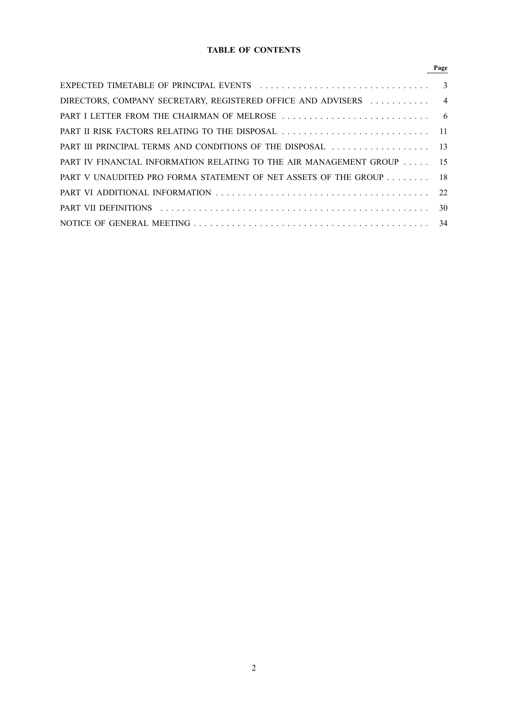## **TABLE OF CONTENTS**

| DIRECTORS, COMPANY SECRETARY, REGISTERED OFFICE AND ADVISERS  4       |  |
|-----------------------------------------------------------------------|--|
|                                                                       |  |
|                                                                       |  |
| PART III PRINCIPAL TERMS AND CONDITIONS OF THE DISPOSAL  13           |  |
| PART IV FINANCIAL INFORMATION RELATING TO THE AIR MANAGEMENT GROUP 15 |  |
| PART V UNAUDITED PRO FORMA STATEMENT OF NET ASSETS OF THE GROUP 18    |  |
|                                                                       |  |
|                                                                       |  |
|                                                                       |  |

# **Page**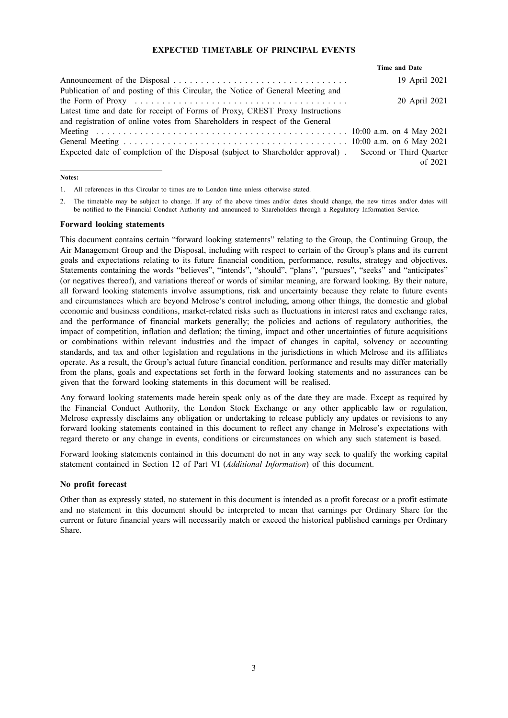## **EXPECTED TIMETABLE OF PRINCIPAL EVENTS**

|                                                                                                               | Time and Date           |               |  |
|---------------------------------------------------------------------------------------------------------------|-------------------------|---------------|--|
|                                                                                                               |                         | 19 April 2021 |  |
| Publication of and posting of this Circular, the Notice of General Meeting and                                |                         |               |  |
| the Form of Proxy $\dots \dots \dots \dots \dots \dots \dots \dots \dots \dots \dots \dots \dots \dots \dots$ |                         | 20 April 2021 |  |
| Latest time and date for receipt of Forms of Proxy, CREST Proxy Instructions                                  |                         |               |  |
| and registration of online votes from Shareholders in respect of the General                                  |                         |               |  |
|                                                                                                               |                         |               |  |
|                                                                                                               |                         |               |  |
| Expected date of completion of the Disposal (subject to Shareholder approval).                                | Second or Third Quarter |               |  |
|                                                                                                               |                         | of $2021$     |  |

#### **Notes:**

1. All references in this Circular to times are to London time unless otherwise stated.

2. The timetable may be subject to change. If any of the above times and/or dates should change, the new times and/or dates will be notified to the Financial Conduct Authority and announced to Shareholders through a Regulatory Information Service.

#### **Forward looking statements**

This document contains certain "forward looking statements" relating to the Group, the Continuing Group, the Air Management Group and the Disposal, including with respect to certain of the Group's plans and its current goals and expectations relating to its future financial condition, performance, results, strategy and objectives. Statements containing the words "believes", "intends", "should", "plans", "pursues", "seeks" and "anticipates" (or negatives thereof), and variations thereof or words of similar meaning, are forward looking. By their nature, all forward looking statements involve assumptions, risk and uncertainty because they relate to future events and circumstances which are beyond Melrose's control including, among other things, the domestic and global economic and business conditions, market-related risks such as fluctuations in interest rates and exchange rates, and the performance of financial markets generally; the policies and actions of regulatory authorities, the impact of competition, inflation and deflation; the timing, impact and other uncertainties of future acquisitions or combinations within relevant industries and the impact of changes in capital, solvency or accounting standards, and tax and other legislation and regulations in the jurisdictions in which Melrose and its affiliates operate. As a result, the Group's actual future financial condition, performance and results may differ materially from the plans, goals and expectations set forth in the forward looking statements and no assurances can be given that the forward looking statements in this document will be realised.

Any forward looking statements made herein speak only as of the date they are made. Except as required by the Financial Conduct Authority, the London Stock Exchange or any other applicable law or regulation, Melrose expressly disclaims any obligation or undertaking to release publicly any updates or revisions to any forward looking statements contained in this document to reflect any change in Melrose's expectations with regard thereto or any change in events, conditions or circumstances on which any such statement is based.

Forward looking statements contained in this document do not in any way seek to qualify the working capital statement contained in Section 12 of Part VI (*Additional Information*) of this document.

#### **No profit forecast**

Other than as expressly stated, no statement in this document is intended as a profit forecast or a profit estimate and no statement in this document should be interpreted to mean that earnings per Ordinary Share for the current or future financial years will necessarily match or exceed the historical published earnings per Ordinary Share.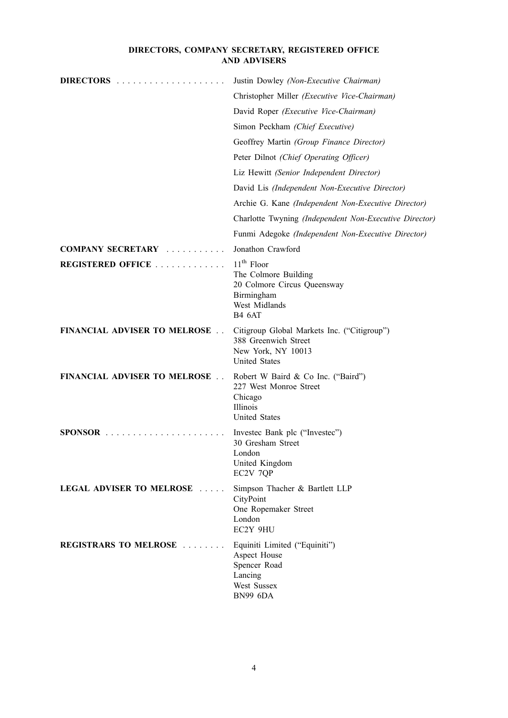## **DIRECTORS, COMPANY SECRETARY, REGISTERED OFFICE AND ADVISERS**

| DIRECTORS                            | Justin Dowley (Non-Executive Chairman)                                                                              |
|--------------------------------------|---------------------------------------------------------------------------------------------------------------------|
|                                      | Christopher Miller (Executive Vice-Chairman)                                                                        |
|                                      | David Roper (Executive Vice-Chairman)                                                                               |
|                                      | Simon Peckham (Chief Executive)                                                                                     |
|                                      | Geoffrey Martin (Group Finance Director)                                                                            |
|                                      | Peter Dilnot (Chief Operating Officer)                                                                              |
|                                      | Liz Hewitt (Senior Independent Director)                                                                            |
|                                      | David Lis (Independent Non-Executive Director)                                                                      |
|                                      | Archie G. Kane (Independent Non-Executive Director)                                                                 |
|                                      | Charlotte Twyning (Independent Non-Executive Director)                                                              |
|                                      | Funmi Adegoke (Independent Non-Executive Director)                                                                  |
| <b>COMPANY SECRETARY</b>             | Jonathon Crawford                                                                                                   |
| <b>REGISTERED OFFICE</b>             | $11th$ Floor<br>The Colmore Building<br>20 Colmore Circus Queensway<br>Birmingham<br>West Midlands<br><b>B4 6AT</b> |
| <b>FINANCIAL ADVISER TO MELROSE </b> | Citigroup Global Markets Inc. ("Citigroup")<br>388 Greenwich Street<br>New York, NY 10013<br><b>United States</b>   |
| <b>FINANCIAL ADVISER TO MELROSE</b>  | Robert W Baird & Co Inc. ("Baird")<br>227 West Monroe Street<br>Chicago<br>Illinois<br><b>United States</b>         |
|                                      | Investec Bank plc ("Investec")<br>30 Gresham Street<br>London<br>United Kingdom<br>EC2V 7QP                         |
| LEGAL ADVISER TO MELROSE             | Simpson Thacher & Bartlett LLP<br>CityPoint<br>One Ropemaker Street<br>London<br>EC2Y 9HU                           |
| <b>REGISTRARS TO MELROSE</b>         | Equiniti Limited ("Equiniti")<br>Aspect House<br>Spencer Road<br>Lancing<br>West Sussex<br><b>BN99 6DA</b>          |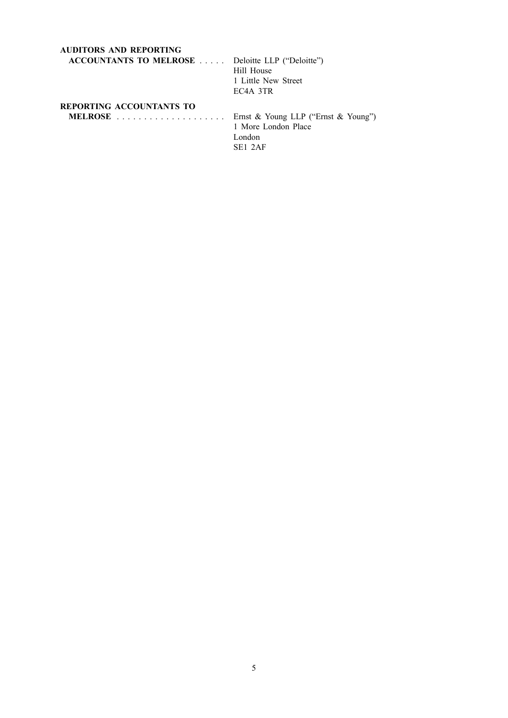| <b>AUDITORS AND REPORTING</b>                           |                                     |
|---------------------------------------------------------|-------------------------------------|
| <b>ACCOUNTANTS TO MELROSE</b> Deloitte LLP ("Deloitte") |                                     |
|                                                         | Hill House                          |
|                                                         | 1 Little New Street                 |
|                                                         | EC <sub>4</sub> A 3TR               |
| <b>REPORTING ACCOUNTANTS TO</b>                         |                                     |
|                                                         | Ernst & Young LLP ("Ernst & Young") |
|                                                         | 1 More London Place                 |
|                                                         | London                              |

SE1 2AF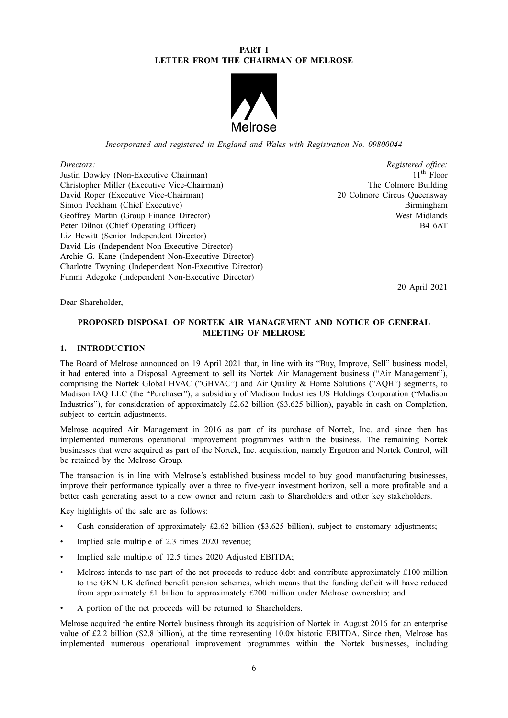## **PART I LETTER FROM THE CHAIRMAN OF MELROSE**



*Incorporated and registered in England and Wales with Registration No. 09800044*

*Directors: Registered office: Registered office: Registered office: Registered office: I* Justin Dowley (Non-Executive Chairman) 11<sup>th</sup> Floor<br>Christopher Miller (Executive Vice-Chairman) 11<sup>th</sup> Floor Christopher Miller (Executive Vice-Chairman) David Roper (Executive Vice-Chairman) 20 Colmore Circus Queensway Simon Peckham (Chief Executive) Birmingham Geoffrey Martin (Group Finance Director) West Midlands Peter Dilnot (Chief Operating Officer) B4 6AT Liz Hewitt (Senior Independent Director) David Lis (Independent Non-Executive Director) Archie G. Kane (Independent Non-Executive Director) Charlotte Twyning (Independent Non-Executive Director) Funmi Adegoke (Independent Non-Executive Director)

20 April 2021

Dear Shareholder,

## **PROPOSED DISPOSAL OF NORTEK AIR MANAGEMENT AND NOTICE OF GENERAL MEETING OF MELROSE**

## **1. INTRODUCTION**

The Board of Melrose announced on 19 April 2021 that, in line with its "Buy, Improve, Sell" business model, it had entered into a Disposal Agreement to sell its Nortek Air Management business ("Air Management"), comprising the Nortek Global HVAC ("GHVAC") and Air Quality & Home Solutions ("AQH") segments, to Madison IAQ LLC (the "Purchaser"), a subsidiary of Madison Industries US Holdings Corporation ("Madison Industries"), for consideration of approximately £2.62 billion (\$3.625 billion), payable in cash on Completion, subject to certain adjustments.

Melrose acquired Air Management in 2016 as part of its purchase of Nortek, Inc. and since then has implemented numerous operational improvement programmes within the business. The remaining Nortek businesses that were acquired as part of the Nortek, Inc. acquisition, namely Ergotron and Nortek Control, will be retained by the Melrose Group.

The transaction is in line with Melrose's established business model to buy good manufacturing businesses, improve their performance typically over a three to five-year investment horizon, sell a more profitable and a better cash generating asset to a new owner and return cash to Shareholders and other key stakeholders.

Key highlights of the sale are as follows:

- Cash consideration of approximately £2.62 billion (\$3.625 billion), subject to customary adjustments;
- Implied sale multiple of 2.3 times 2020 revenue;
- Implied sale multiple of 12.5 times 2020 Adjusted EBITDA;
- Melrose intends to use part of the net proceeds to reduce debt and contribute approximately £100 million to the GKN UK defined benefit pension schemes, which means that the funding deficit will have reduced from approximately £1 billion to approximately £200 million under Melrose ownership; and
- A portion of the net proceeds will be returned to Shareholders.

Melrose acquired the entire Nortek business through its acquisition of Nortek in August 2016 for an enterprise value of £2.2 billion (\$2.8 billion), at the time representing 10.0x historic EBITDA. Since then, Melrose has implemented numerous operational improvement programmes within the Nortek businesses, including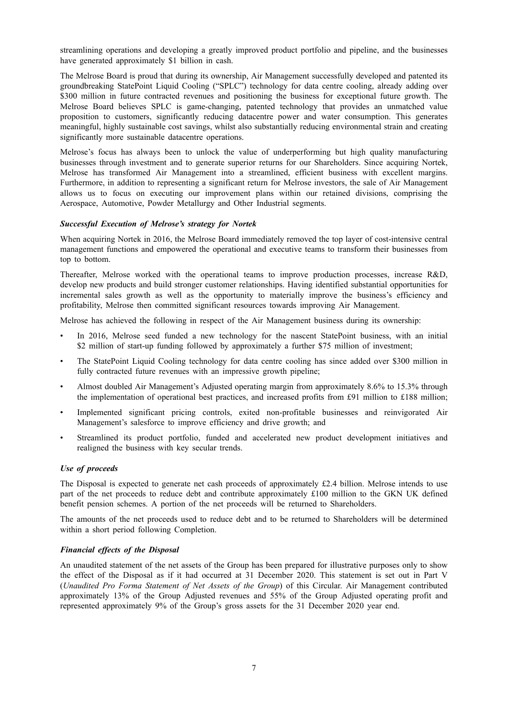streamlining operations and developing a greatly improved product portfolio and pipeline, and the businesses have generated approximately \$1 billion in cash.

The Melrose Board is proud that during its ownership, Air Management successfully developed and patented its groundbreaking StatePoint Liquid Cooling ("SPLC") technology for data centre cooling, already adding over \$300 million in future contracted revenues and positioning the business for exceptional future growth. The Melrose Board believes SPLC is game-changing, patented technology that provides an unmatched value proposition to customers, significantly reducing datacentre power and water consumption. This generates meaningful, highly sustainable cost savings, whilst also substantially reducing environmental strain and creating significantly more sustainable datacentre operations.

Melrose's focus has always been to unlock the value of underperforming but high quality manufacturing businesses through investment and to generate superior returns for our Shareholders. Since acquiring Nortek, Melrose has transformed Air Management into a streamlined, efficient business with excellent margins. Furthermore, in addition to representing a significant return for Melrose investors, the sale of Air Management allows us to focus on executing our improvement plans within our retained divisions, comprising the Aerospace, Automotive, Powder Metallurgy and Other Industrial segments.

#### *Successful Execution of Melrose's strategy for Nortek*

When acquiring Nortek in 2016, the Melrose Board immediately removed the top layer of cost-intensive central management functions and empowered the operational and executive teams to transform their businesses from top to bottom.

Thereafter, Melrose worked with the operational teams to improve production processes, increase R&D, develop new products and build stronger customer relationships. Having identified substantial opportunities for incremental sales growth as well as the opportunity to materially improve the business's efficiency and profitability, Melrose then committed significant resources towards improving Air Management.

Melrose has achieved the following in respect of the Air Management business during its ownership:

- In 2016, Melrose seed funded a new technology for the nascent StatePoint business, with an initial \$2 million of start-up funding followed by approximately a further \$75 million of investment;
- The StatePoint Liquid Cooling technology for data centre cooling has since added over \$300 million in fully contracted future revenues with an impressive growth pipeline:
- Almost doubled Air Management's Adjusted operating margin from approximately 8.6% to 15.3% through the implementation of operational best practices, and increased profits from £91 million to £188 million;
- Implemented significant pricing controls, exited non-profitable businesses and reinvigorated Air Management's salesforce to improve efficiency and drive growth; and
- Streamlined its product portfolio, funded and accelerated new product development initiatives and realigned the business with key secular trends.

#### *Use of proceeds*

The Disposal is expected to generate net cash proceeds of approximately £2.4 billion. Melrose intends to use part of the net proceeds to reduce debt and contribute approximately £100 million to the GKN UK defined benefit pension schemes. A portion of the net proceeds will be returned to Shareholders.

The amounts of the net proceeds used to reduce debt and to be returned to Shareholders will be determined within a short period following Completion.

#### *Financial effects of the Disposal*

An unaudited statement of the net assets of the Group has been prepared for illustrative purposes only to show the effect of the Disposal as if it had occurred at 31 December 2020. This statement is set out in Part V (*Unaudited Pro Forma Statement of Net Assets of the Group*) of this Circular. Air Management contributed approximately 13% of the Group Adjusted revenues and 55% of the Group Adjusted operating profit and represented approximately 9% of the Group's gross assets for the 31 December 2020 year end.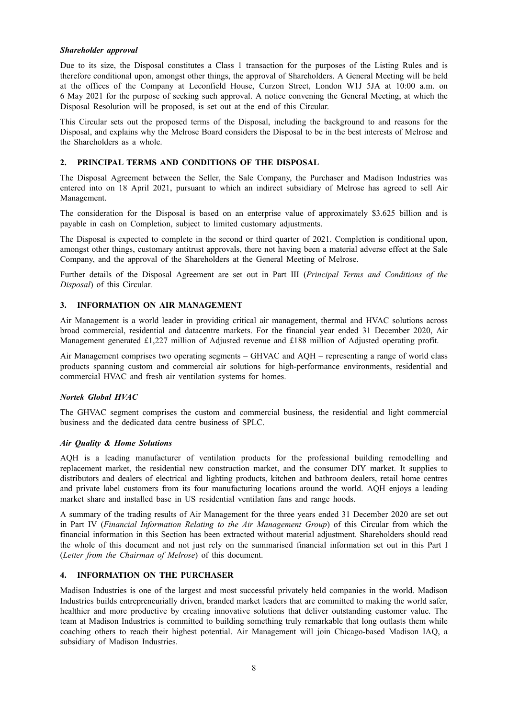## *Shareholder approval*

Due to its size, the Disposal constitutes a Class 1 transaction for the purposes of the Listing Rules and is therefore conditional upon, amongst other things, the approval of Shareholders. A General Meeting will be held at the offices of the Company at Leconfield House, Curzon Street, London W1J 5JA at 10:00 a.m. on 6 May 2021 for the purpose of seeking such approval. A notice convening the General Meeting, at which the Disposal Resolution will be proposed, is set out at the end of this Circular.

This Circular sets out the proposed terms of the Disposal, including the background to and reasons for the Disposal, and explains why the Melrose Board considers the Disposal to be in the best interests of Melrose and the Shareholders as a whole.

## **2. PRINCIPAL TERMS AND CONDITIONS OF THE DISPOSAL**

The Disposal Agreement between the Seller, the Sale Company, the Purchaser and Madison Industries was entered into on 18 April 2021, pursuant to which an indirect subsidiary of Melrose has agreed to sell Air Management.

The consideration for the Disposal is based on an enterprise value of approximately \$3.625 billion and is payable in cash on Completion, subject to limited customary adjustments.

The Disposal is expected to complete in the second or third quarter of 2021. Completion is conditional upon, amongst other things, customary antitrust approvals, there not having been a material adverse effect at the Sale Company, and the approval of the Shareholders at the General Meeting of Melrose.

Further details of the Disposal Agreement are set out in Part III (*Principal Terms and Conditions of the Disposal*) of this Circular.

#### **3. INFORMATION ON AIR MANAGEMENT**

Air Management is a world leader in providing critical air management, thermal and HVAC solutions across broad commercial, residential and datacentre markets. For the financial year ended 31 December 2020, Air Management generated £1,227 million of Adjusted revenue and £188 million of Adjusted operating profit.

Air Management comprises two operating segments – GHVAC and AQH – representing a range of world class products spanning custom and commercial air solutions for high-performance environments, residential and commercial HVAC and fresh air ventilation systems for homes.

## *Nortek Global HVAC*

The GHVAC segment comprises the custom and commercial business, the residential and light commercial business and the dedicated data centre business of SPLC.

#### *Air Quality & Home Solutions*

AQH is a leading manufacturer of ventilation products for the professional building remodelling and replacement market, the residential new construction market, and the consumer DIY market. It supplies to distributors and dealers of electrical and lighting products, kitchen and bathroom dealers, retail home centres and private label customers from its four manufacturing locations around the world. AQH enjoys a leading market share and installed base in US residential ventilation fans and range hoods.

A summary of the trading results of Air Management for the three years ended 31 December 2020 are set out in Part IV (*Financial Information Relating to the Air Management Group*) of this Circular from which the financial information in this Section has been extracted without material adjustment. Shareholders should read the whole of this document and not just rely on the summarised financial information set out in this Part I (*Letter from the Chairman of Melrose*) of this document.

## **4. INFORMATION ON THE PURCHASER**

Madison Industries is one of the largest and most successful privately held companies in the world. Madison Industries builds entrepreneurially driven, branded market leaders that are committed to making the world safer, healthier and more productive by creating innovative solutions that deliver outstanding customer value. The team at Madison Industries is committed to building something truly remarkable that long outlasts them while coaching others to reach their highest potential. Air Management will join Chicago-based Madison IAQ, a subsidiary of Madison Industries.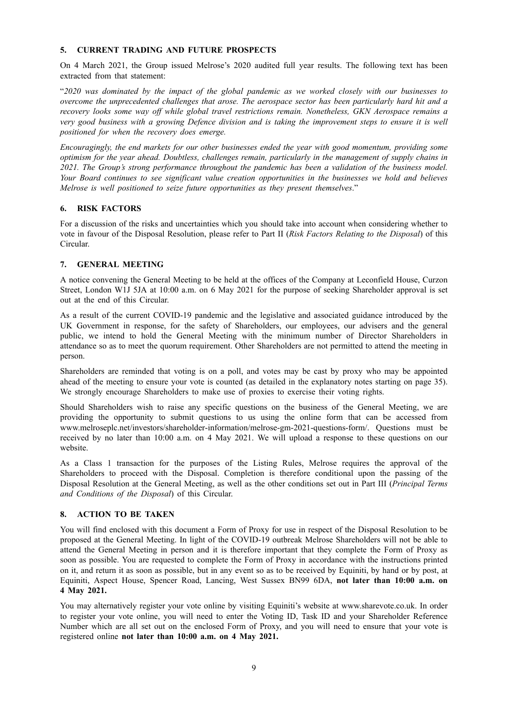## **5. CURRENT TRADING AND FUTURE PROSPECTS**

On 4 March 2021, the Group issued Melrose's 2020 audited full year results. The following text has been extracted from that statement:

"2020 was dominated by the impact of the global pandemic as we worked closely with our businesses to *overcome the unprecedented challenges that arose. The aerospace sector has been particularly hard hit and a recovery looks some way off while global travel restrictions remain. Nonetheless, GKN Aerospace remains a* very good business with a growing Defence division and is taking the improvement steps to ensure it is well *positioned for when the recovery does emerge.*

*Encouragingly, the end markets for our other businesses ended the year with good momentum, providing some optimism for the year ahead. Doubtless, challenges remain, particularly in the management of supply chains in 2021. The Group's strong performance throughout the pandemic has been a validation of the business model. Your Board continues to see significant value creation opportunities in the businesses we hold and believes Melrose is well positioned to seize future opportunities as they present themselves*."

## **6. RISK FACTORS**

For a discussion of the risks and uncertainties which you should take into account when considering whether to vote in favour of the Disposal Resolution, please refer to Part II (*Risk Factors Relating to the Disposal*) of this Circular.

## **7. GENERAL MEETING**

A notice convening the General Meeting to be held at the offices of the Company at Leconfield House, Curzon Street, London W1J 5JA at 10:00 a.m. on 6 May 2021 for the purpose of seeking Shareholder approval is set out at the end of this Circular.

As a result of the current COVID-19 pandemic and the legislative and associated guidance introduced by the UK Government in response, for the safety of Shareholders, our employees, our advisers and the general public, we intend to hold the General Meeting with the minimum number of Director Shareholders in attendance so as to meet the quorum requirement. Other Shareholders are not permitted to attend the meeting in person.

Shareholders are reminded that voting is on a poll, and votes may be cast by proxy who may be appointed ahead of the meeting to ensure your vote is counted (as detailed in the explanatory notes starting on page 35). We strongly encourage Shareholders to make use of proxies to exercise their voting rights.

Should Shareholders wish to raise any specific questions on the business of the General Meeting, we are providing the opportunity to submit questions to us using the online form that can be accessed from www.melroseplc.net/investors/shareholder-information/melrose-gm-2021-questions-form/. Questions must be received by no later than 10:00 a.m. on 4 May 2021. We will upload a response to these questions on our website.

As a Class 1 transaction for the purposes of the Listing Rules, Melrose requires the approval of the Shareholders to proceed with the Disposal. Completion is therefore conditional upon the passing of the Disposal Resolution at the General Meeting, as well as the other conditions set out in Part III (*Principal Terms and Conditions of the Disposal*) of this Circular.

## **8. ACTION TO BE TAKEN**

You will find enclosed with this document a Form of Proxy for use in respect of the Disposal Resolution to be proposed at the General Meeting. In light of the COVID-19 outbreak Melrose Shareholders will not be able to attend the General Meeting in person and it is therefore important that they complete the Form of Proxy as soon as possible. You are requested to complete the Form of Proxy in accordance with the instructions printed on it, and return it as soon as possible, but in any event so as to be received by Equiniti, by hand or by post, at Equiniti, Aspect House, Spencer Road, Lancing, West Sussex BN99 6DA, **not later than 10:00 a.m. on 4 May 2021.**

You may alternatively register your vote online by visiting Equiniti's website at www.sharevote.co.uk. In order to register your vote online, you will need to enter the Voting ID, Task ID and your Shareholder Reference Number which are all set out on the enclosed Form of Proxy, and you will need to ensure that your vote is registered online **not later than 10:00 a.m. on 4 May 2021.**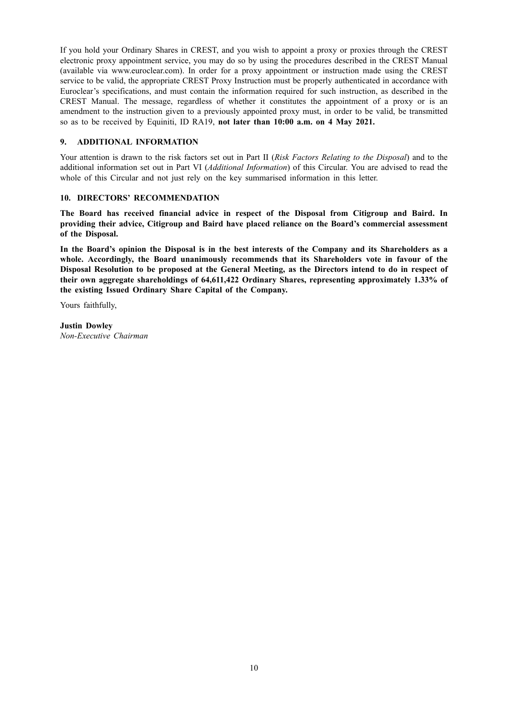If you hold your Ordinary Shares in CREST, and you wish to appoint a proxy or proxies through the CREST electronic proxy appointment service, you may do so by using the procedures described in the CREST Manual (available via www.euroclear.com). In order for a proxy appointment or instruction made using the CREST service to be valid, the appropriate CREST Proxy Instruction must be properly authenticated in accordance with Euroclear's specifications, and must contain the information required for such instruction, as described in the CREST Manual. The message, regardless of whether it constitutes the appointment of a proxy or is an amendment to the instruction given to a previously appointed proxy must, in order to be valid, be transmitted so as to be received by Equiniti, ID RA19, **not later than 10:00 a.m. on 4 May 2021.**

## **9. ADDITIONAL INFORMATION**

Your attention is drawn to the risk factors set out in Part II (*Risk Factors Relating to the Disposal*) and to the additional information set out in Part VI (*Additional Information*) of this Circular. You are advised to read the whole of this Circular and not just rely on the key summarised information in this letter.

#### **10. DIRECTORS' RECOMMENDATION**

**The Board has received financial advice in respect of the Disposal from Citigroup and Baird. In providing their advice, Citigroup and Baird have placed reliance on the Board's commercial assessment of the Disposal.**

In the Board's opinion the Disposal is in the best interests of the Company and its Shareholders as a **whole. Accordingly, the Board unanimously recommends that its Shareholders vote in favour of the** Disposal Resolution to be proposed at the General Meeting, as the Directors intend to do in respect of **their own aggregate shareholdings of 64,611,422 Ordinary Shares, representing approximately 1.33% of the existing Issued Ordinary Share Capital of the Company.**

Yours faithfully,

**Justin Dowley** *Non-Executive Chairman*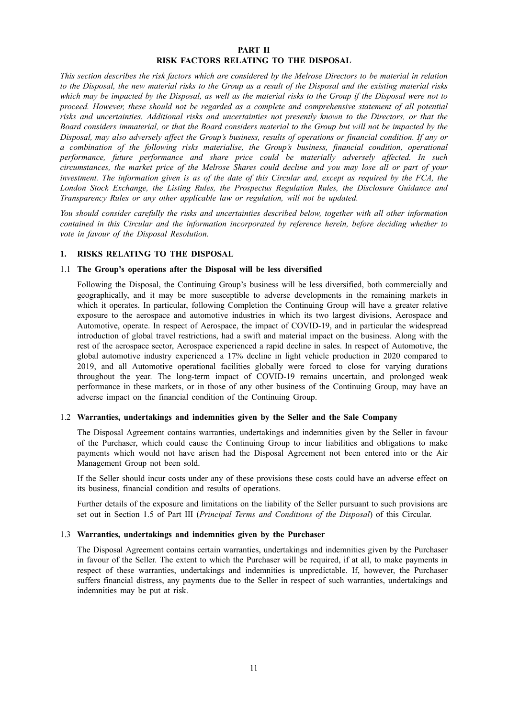## **PART II RISK FACTORS RELATING TO THE DISPOSAL**

This section describes the risk factors which are considered by the Melrose Directors to be material in relation to the Disposal, the new material risks to the Group as a result of the Disposal and the existing material risks which may be impacted by the Disposal, as well as the material risks to the Group if the Disposal were not to *proceed. However, these should not be regarded as a complete and comprehensive statement of all potential risks and uncertainties. Additional risks and uncertainties not presently known to the Directors, or that the* Board considers immaterial, or that the Board considers material to the Group but will not be impacted by the Disposal, may also adversely affect the Group's business, results of operations or financial condition. If any or *a combination of the following risks materialise, the Group's business, financial condition, operational performance, future performance and share price could be materially adversely affected. In such* circumstances, the market price of the Melrose Shares could decline and you may lose all or part of your investment. The information given is as of the date of this Circular and, except as required by the FCA, the *London Stock Exchange, the Listing Rules, the Prospectus Regulation Rules, the Disclosure Guidance and Transparency Rules or any other applicable law or regulation, will not be updated.*

*You should consider carefully the risks and uncertainties described below, together with all other information contained in this Circular and the information incorporated by reference herein, before deciding whether to vote in favour of the Disposal Resolution.*

#### **1. RISKS RELATING TO THE DISPOSAL**

#### 1.1 **The Group's operations after the Disposal will be less diversified**

Following the Disposal, the Continuing Group's business will be less diversified, both commercially and geographically, and it may be more susceptible to adverse developments in the remaining markets in which it operates. In particular, following Completion the Continuing Group will have a greater relative exposure to the aerospace and automotive industries in which its two largest divisions, Aerospace and Automotive, operate. In respect of Aerospace, the impact of COVID-19, and in particular the widespread introduction of global travel restrictions, had a swift and material impact on the business. Along with the rest of the aerospace sector, Aerospace experienced a rapid decline in sales. In respect of Automotive, the global automotive industry experienced a 17% decline in light vehicle production in 2020 compared to 2019, and all Automotive operational facilities globally were forced to close for varying durations throughout the year. The long-term impact of COVID-19 remains uncertain, and prolonged weak performance in these markets, or in those of any other business of the Continuing Group, may have an adverse impact on the financial condition of the Continuing Group.

#### 1.2 **Warranties, undertakings and indemnities given by the Seller and the Sale Company**

The Disposal Agreement contains warranties, undertakings and indemnities given by the Seller in favour of the Purchaser, which could cause the Continuing Group to incur liabilities and obligations to make payments which would not have arisen had the Disposal Agreement not been entered into or the Air Management Group not been sold.

If the Seller should incur costs under any of these provisions these costs could have an adverse effect on its business, financial condition and results of operations.

Further details of the exposure and limitations on the liability of the Seller pursuant to such provisions are set out in Section 1.5 of Part III (*Principal Terms and Conditions of the Disposal*) of this Circular.

#### 1.3 **Warranties, undertakings and indemnities given by the Purchaser**

The Disposal Agreement contains certain warranties, undertakings and indemnities given by the Purchaser in favour of the Seller. The extent to which the Purchaser will be required, if at all, to make payments in respect of these warranties, undertakings and indemnities is unpredictable. If, however, the Purchaser suffers financial distress, any payments due to the Seller in respect of such warranties, undertakings and indemnities may be put at risk.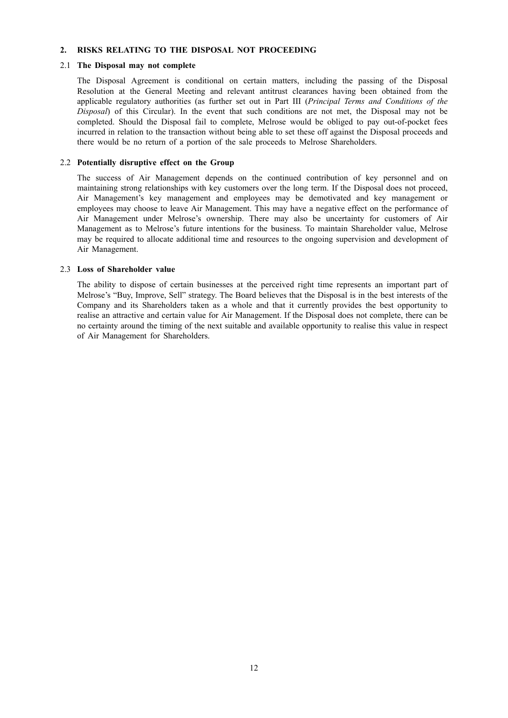## **2. RISKS RELATING TO THE DISPOSAL NOT PROCEEDING**

#### 2.1 **The Disposal may not complete**

The Disposal Agreement is conditional on certain matters, including the passing of the Disposal Resolution at the General Meeting and relevant antitrust clearances having been obtained from the applicable regulatory authorities (as further set out in Part III (*Principal Terms and Conditions of the Disposal*) of this Circular). In the event that such conditions are not met, the Disposal may not be completed. Should the Disposal fail to complete, Melrose would be obliged to pay out-of-pocket fees incurred in relation to the transaction without being able to set these off against the Disposal proceeds and there would be no return of a portion of the sale proceeds to Melrose Shareholders.

## 2.2 **Potentially disruptive effect on the Group**

The success of Air Management depends on the continued contribution of key personnel and on maintaining strong relationships with key customers over the long term. If the Disposal does not proceed, Air Management's key management and employees may be demotivated and key management or employees may choose to leave Air Management. This may have a negative effect on the performance of Air Management under Melrose's ownership. There may also be uncertainty for customers of Air Management as to Melrose's future intentions for the business. To maintain Shareholder value, Melrose may be required to allocate additional time and resources to the ongoing supervision and development of Air Management.

#### 2.3 **Loss of Shareholder value**

The ability to dispose of certain businesses at the perceived right time represents an important part of Melrose's "Buy, Improve, Sell" strategy. The Board believes that the Disposal is in the best interests of the Company and its Shareholders taken as a whole and that it currently provides the best opportunity to realise an attractive and certain value for Air Management. If the Disposal does not complete, there can be no certainty around the timing of the next suitable and available opportunity to realise this value in respect of Air Management for Shareholders.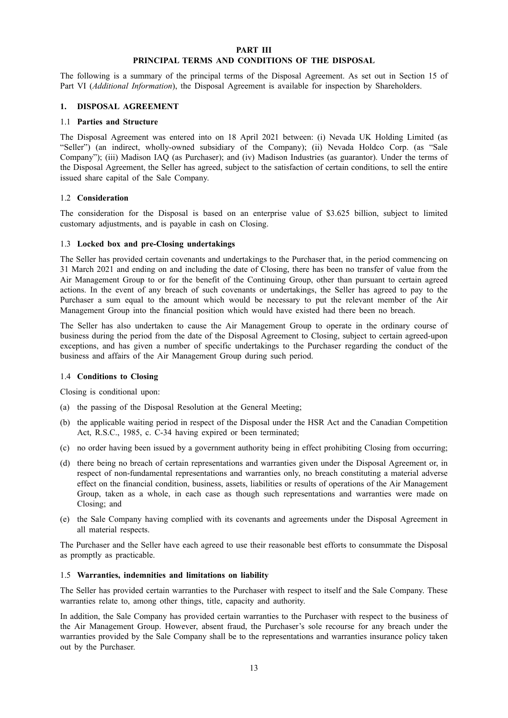## **PART III PRINCIPAL TERMS AND CONDITIONS OF THE DISPOSAL**

The following is a summary of the principal terms of the Disposal Agreement. As set out in Section 15 of Part VI (*Additional Information*), the Disposal Agreement is available for inspection by Shareholders.

#### **1. DISPOSAL AGREEMENT**

#### 1.1 **Parties and Structure**

The Disposal Agreement was entered into on 18 April 2021 between: (i) Nevada UK Holding Limited (as "Seller") (an indirect, wholly-owned subsidiary of the Company); (ii) Nevada Holdco Corp. (as "Sale Company"); (iii) Madison IAQ (as Purchaser); and (iv) Madison Industries (as guarantor). Under the terms of the Disposal Agreement, the Seller has agreed, subject to the satisfaction of certain conditions, to sell the entire issued share capital of the Sale Company.

#### 1.2 **Consideration**

The consideration for the Disposal is based on an enterprise value of \$3.625 billion, subject to limited customary adjustments, and is payable in cash on Closing.

#### 1.3 **Locked box and pre-Closing undertakings**

The Seller has provided certain covenants and undertakings to the Purchaser that, in the period commencing on 31 March 2021 and ending on and including the date of Closing, there has been no transfer of value from the Air Management Group to or for the benefit of the Continuing Group, other than pursuant to certain agreed actions. In the event of any breach of such covenants or undertakings, the Seller has agreed to pay to the Purchaser a sum equal to the amount which would be necessary to put the relevant member of the Air Management Group into the financial position which would have existed had there been no breach.

The Seller has also undertaken to cause the Air Management Group to operate in the ordinary course of business during the period from the date of the Disposal Agreement to Closing, subject to certain agreed-upon exceptions, and has given a number of specific undertakings to the Purchaser regarding the conduct of the business and affairs of the Air Management Group during such period.

## 1.4 **Conditions to Closing**

Closing is conditional upon:

- (a) the passing of the Disposal Resolution at the General Meeting;
- (b) the applicable waiting period in respect of the Disposal under the HSR Act and the Canadian Competition Act, R.S.C., 1985, c. C-34 having expired or been terminated;
- (c) no order having been issued by a government authority being in effect prohibiting Closing from occurring;
- (d) there being no breach of certain representations and warranties given under the Disposal Agreement or, in respect of non-fundamental representations and warranties only, no breach constituting a material adverse effect on the financial condition, business, assets, liabilities or results of operations of the Air Management Group, taken as a whole, in each case as though such representations and warranties were made on Closing; and
- (e) the Sale Company having complied with its covenants and agreements under the Disposal Agreement in all material respects.

The Purchaser and the Seller have each agreed to use their reasonable best efforts to consummate the Disposal as promptly as practicable.

#### 1.5 **Warranties, indemnities and limitations on liability**

The Seller has provided certain warranties to the Purchaser with respect to itself and the Sale Company. These warranties relate to, among other things, title, capacity and authority.

In addition, the Sale Company has provided certain warranties to the Purchaser with respect to the business of the Air Management Group. However, absent fraud, the Purchaser's sole recourse for any breach under the warranties provided by the Sale Company shall be to the representations and warranties insurance policy taken out by the Purchaser.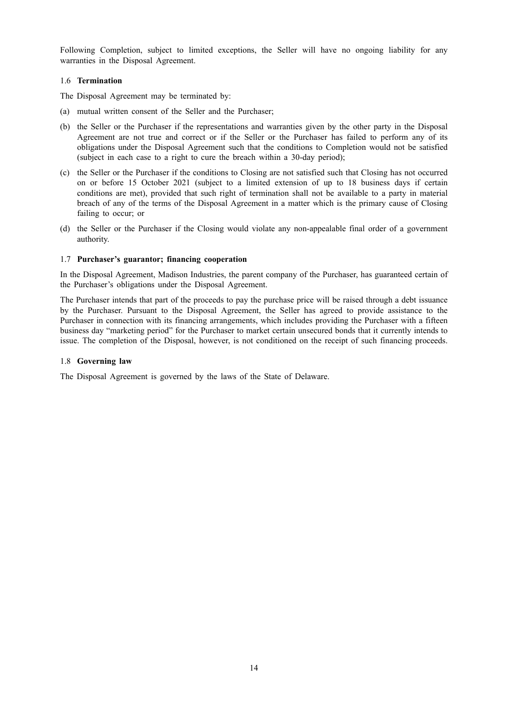Following Completion, subject to limited exceptions, the Seller will have no ongoing liability for any warranties in the Disposal Agreement.

## 1.6 **Termination**

The Disposal Agreement may be terminated by:

- (a) mutual written consent of the Seller and the Purchaser;
- (b) the Seller or the Purchaser if the representations and warranties given by the other party in the Disposal Agreement are not true and correct or if the Seller or the Purchaser has failed to perform any of its obligations under the Disposal Agreement such that the conditions to Completion would not be satisfied (subject in each case to a right to cure the breach within a 30-day period);
- (c) the Seller or the Purchaser if the conditions to Closing are not satisfied such that Closing has not occurred on or before 15 October 2021 (subject to a limited extension of up to 18 business days if certain conditions are met), provided that such right of termination shall not be available to a party in material breach of any of the terms of the Disposal Agreement in a matter which is the primary cause of Closing failing to occur; or
- (d) the Seller or the Purchaser if the Closing would violate any non-appealable final order of a government authority.

## 1.7 **Purchaser's guarantor; financing cooperation**

In the Disposal Agreement, Madison Industries, the parent company of the Purchaser, has guaranteed certain of the Purchaser's obligations under the Disposal Agreement.

The Purchaser intends that part of the proceeds to pay the purchase price will be raised through a debt issuance by the Purchaser. Pursuant to the Disposal Agreement, the Seller has agreed to provide assistance to the Purchaser in connection with its financing arrangements, which includes providing the Purchaser with a fifteen business day "marketing period" for the Purchaser to market certain unsecured bonds that it currently intends to issue. The completion of the Disposal, however, is not conditioned on the receipt of such financing proceeds.

#### 1.8 **Governing law**

The Disposal Agreement is governed by the laws of the State of Delaware.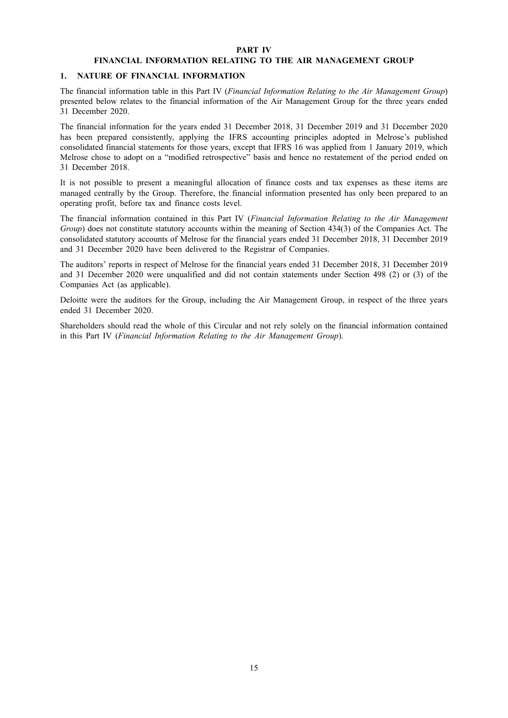#### **PART IV**

## **FINANCIAL INFORMATION RELATING TO THE AIR MANAGEMENT GROUP**

#### **1. NATURE OF FINANCIAL INFORMATION**

The financial information table in this Part IV (*Financial Information Relating to the Air Management Group*) presented below relates to the financial information of the Air Management Group for the three years ended 31 December 2020.

The financial information for the years ended 31 December 2018, 31 December 2019 and 31 December 2020 has been prepared consistently, applying the IFRS accounting principles adopted in Melrose's published consolidated financial statements for those years, except that IFRS 16 was applied from 1 January 2019, which Melrose chose to adopt on a "modified retrospective" basis and hence no restatement of the period ended on 31 December 2018.

It is not possible to present a meaningful allocation of finance costs and tax expenses as these items are managed centrally by the Group. Therefore, the financial information presented has only been prepared to an operating profit, before tax and finance costs level.

The financial information contained in this Part IV (*Financial Information Relating to the Air Management Group*) does not constitute statutory accounts within the meaning of Section 434(3) of the Companies Act. The consolidated statutory accounts of Melrose for the financial years ended 31 December 2018, 31 December 2019 and 31 December 2020 have been delivered to the Registrar of Companies.

The auditors' reports in respect of Melrose for the financial years ended 31 December 2018, 31 December 2019 and 31 December 2020 were unqualified and did not contain statements under Section 498 (2) or (3) of the Companies Act (as applicable).

Deloitte were the auditors for the Group, including the Air Management Group, in respect of the three years ended 31 December 2020.

Shareholders should read the whole of this Circular and not rely solely on the financial information contained in this Part IV (*Financial Information Relating to the Air Management Group*).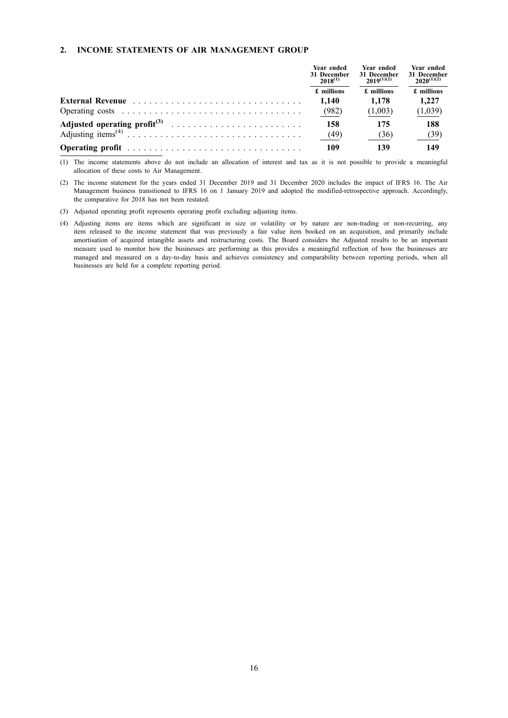#### **2. INCOME STATEMENTS OF AIR MANAGEMENT GROUP**

|                  | Year ended<br>31 December<br>$2018^{(1)}$ | Year ended<br>31 December<br>$2019^{(1)(2)}$ | Year ended<br>31 December<br>$2020^{(1)(2)}$ |  |
|------------------|-------------------------------------------|----------------------------------------------|----------------------------------------------|--|
|                  | £ millions                                | £ millions                                   | £ millions                                   |  |
| External Revenue | 1.140                                     | 1.178                                        | 1.227                                        |  |
|                  | (982)                                     | (1,003)                                      | (1,039)                                      |  |
|                  | 158                                       | 175                                          | 188                                          |  |
|                  | (49)                                      | (36)                                         | (39)                                         |  |
|                  | 109                                       |                                              | 149                                          |  |

(1) The income statements above do not include an allocation of interest and tax as it is not possible to provide a meaningful allocation of these costs to Air Management.

(2) The income statement for the years ended 31 December 2019 and 31 December 2020 includes the impact of IFRS 16. The Air Management business transitioned to IFRS 16 on 1 January 2019 and adopted the modified-retrospective approach. Accordingly, the comparative for 2018 has not been restated.

(3) Adjusted operating profit represents operating profit excluding adjusting items.

(4) Adjusting items are items which are significant in size or volatility or by nature are non-trading or non-recurring, any item released to the income statement that was previously a fair value item booked on an acquisition, and primarily include amortisation of acquired intangible assets and restructuring costs. The Board considers the Adjusted results to be an important measure used to monitor how the businesses are performing as this provides a meaningful reflection of how the businesses are managed and measured on a day-to-day basis and achieves consistency and comparability between reporting periods, when all businesses are held for a complete reporting period.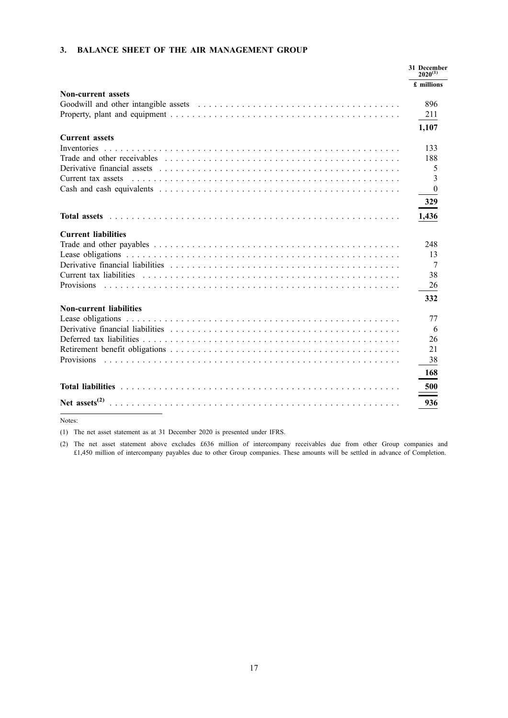## **3. BALANCE SHEET OF THE AIR MANAGEMENT GROUP**

|                                                                                                                 | 31 December<br>$2020^{(1)}$ |
|-----------------------------------------------------------------------------------------------------------------|-----------------------------|
|                                                                                                                 | £ millions                  |
| <b>Non-current assets</b>                                                                                       |                             |
|                                                                                                                 | 896                         |
|                                                                                                                 | 211                         |
|                                                                                                                 | 1,107                       |
| <b>Current assets</b>                                                                                           |                             |
| Inventories                                                                                                     | 133                         |
| Trade and other receivables expressions are also assessed as a series of the series of the series of the series | 188                         |
|                                                                                                                 | 5                           |
|                                                                                                                 | 3                           |
|                                                                                                                 | $\overline{0}$              |
|                                                                                                                 | 329                         |
|                                                                                                                 | 1,436                       |
| <b>Current liabilities</b>                                                                                      |                             |
|                                                                                                                 | 248                         |
|                                                                                                                 | 13                          |
| Derivative financial liabilities expressions are assessed as a series of the series of the series of the        | 7                           |
|                                                                                                                 | 38                          |
| <b>Provisions</b>                                                                                               | 26                          |
|                                                                                                                 | 332                         |
| <b>Non-current liabilities</b>                                                                                  |                             |
|                                                                                                                 | 77                          |
| Derivative financial liabilities conservation of the contract of the contract of the contract of the            | 6                           |
|                                                                                                                 | 26                          |
|                                                                                                                 | 21                          |
| <b>Provisions</b>                                                                                               | 38                          |
|                                                                                                                 | 168<br>500                  |
|                                                                                                                 |                             |
| Net assets $^{(2)}$                                                                                             | 936                         |

Notes:

(1) The net asset statement as at 31 December 2020 is presented under IFRS.

(2) The net asset statement above excludes £636 million of intercompany receivables due from other Group companies and £1,450 million of intercompany payables due to other Group companies. These amounts will be settled in advance of Completion.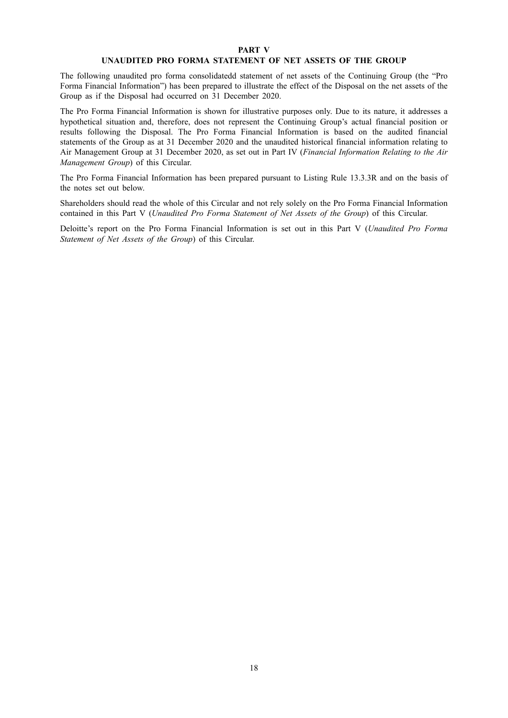#### **PART V**

## **UNAUDITED PRO FORMA STATEMENT OF NET ASSETS OF THE GROUP**

The following unaudited pro forma consolidatedd statement of net assets of the Continuing Group (the "Pro Forma Financial Information") has been prepared to illustrate the effect of the Disposal on the net assets of the Group as if the Disposal had occurred on 31 December 2020.

The Pro Forma Financial Information is shown for illustrative purposes only. Due to its nature, it addresses a hypothetical situation and, therefore, does not represent the Continuing Group's actual financial position or results following the Disposal. The Pro Forma Financial Information is based on the audited financial statements of the Group as at 31 December 2020 and the unaudited historical financial information relating to Air Management Group at 31 December 2020, as set out in Part IV (*Financial Information Relating to the Air Management Group*) of this Circular.

The Pro Forma Financial Information has been prepared pursuant to Listing Rule 13.3.3R and on the basis of the notes set out below.

Shareholders should read the whole of this Circular and not rely solely on the Pro Forma Financial Information contained in this Part V (*Unaudited Pro Forma Statement of Net Assets of the Group*) of this Circular.

Deloitte's report on the Pro Forma Financial Information is set out in this Part V (*Unaudited Pro Forma Statement of Net Assets of the Group*) of this Circular.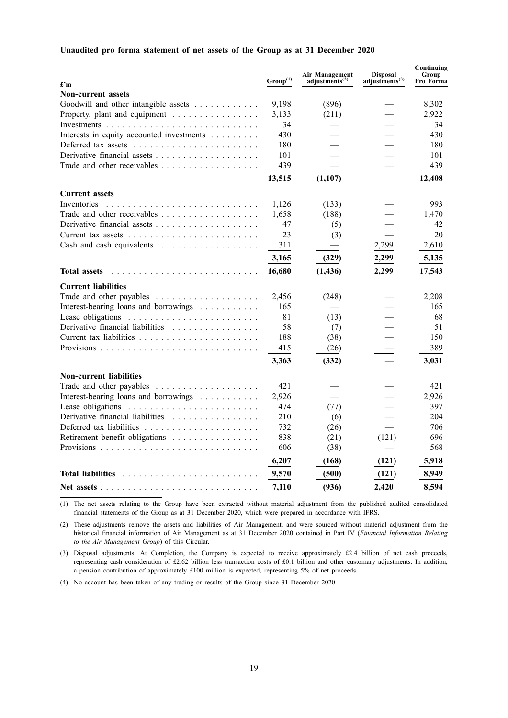## **Unaudited pro forma statement of net assets of the Group as at 31 December 2020**

| £'m                                       | $\mathrm{Group}^{(1)}$ | Air Management<br>adjustments <sup>(2)</sup> | <b>Disposal</b><br>adjustments <sup>(3)</sup> | Continuing<br>Group<br>Pro Forma |
|-------------------------------------------|------------------------|----------------------------------------------|-----------------------------------------------|----------------------------------|
| <b>Non-current assets</b>                 |                        |                                              |                                               |                                  |
| Goodwill and other intangible assets      | 9,198                  | (896)                                        |                                               | 8,302                            |
| Property, plant and equipment             | 3,133                  | (211)                                        |                                               | 2,922                            |
|                                           | 34                     |                                              |                                               | 34                               |
| Interests in equity accounted investments | 430                    |                                              |                                               | 430                              |
|                                           | 180                    |                                              |                                               | 180                              |
|                                           | 101                    |                                              |                                               | 101                              |
|                                           | 439                    |                                              |                                               | 439                              |
|                                           | 13,515                 | (1,107)                                      |                                               | 12,408                           |
| <b>Current assets</b>                     |                        |                                              |                                               |                                  |
| Inventories                               | 1,126                  | (133)                                        |                                               | 993                              |
|                                           | 1,658                  | (188)                                        |                                               | 1,470                            |
|                                           | 47                     | (5)                                          |                                               | 42                               |
|                                           | 23                     | (3)                                          |                                               | 20                               |
|                                           | 311                    |                                              | 2,299                                         | 2,610                            |
|                                           | 3,165                  | (329)                                        | 2,299                                         | 5,135                            |
| <b>Total assets</b>                       | 16,680                 | (1, 436)                                     | 2,299                                         | 17,543                           |
| <b>Current liabilities</b>                |                        |                                              |                                               |                                  |
|                                           | 2,456                  | (248)                                        |                                               | 2,208                            |
| Interest-bearing loans and borrowings     | 165                    |                                              |                                               | 165                              |
|                                           | 81                     | (13)                                         |                                               | 68                               |
| Derivative financial liabilities          | 58                     | (7)                                          |                                               | 51                               |
|                                           | 188                    | (38)                                         |                                               | 150                              |
|                                           | 415                    | (26)                                         |                                               | 389                              |
|                                           | 3,363                  | (332)                                        |                                               | 3,031                            |
| <b>Non-current liabilities</b>            |                        |                                              |                                               |                                  |
|                                           | 421                    |                                              |                                               | 421                              |
| Interest-bearing loans and borrowings     | 2,926                  |                                              |                                               | 2,926                            |
| Lease obligations                         | 474                    | (77)                                         |                                               | 397                              |
| Derivative financial liabilities          | 210                    | (6)                                          |                                               | 204                              |
|                                           | 732                    | (26)                                         |                                               | 706                              |
| Retirement benefit obligations            | 838                    | (21)                                         | (121)                                         | 696                              |
|                                           | 606                    | (38)                                         |                                               | 568                              |
|                                           | 6,207                  | (168)                                        | (121)                                         | 5,918                            |
| <b>Total liabilities</b>                  | 9,570                  | (500)                                        | (121)                                         | 8,949                            |
|                                           | 7,110                  | (936)                                        | 2,420                                         | 8,594                            |

(1) The net assets relating to the Group have been extracted without material adjustment from the published audited consolidated financial statements of the Group as at 31 December 2020, which were prepared in accordance with IFRS.

(2) These adjustments remove the assets and liabilities of Air Management, and were sourced without material adjustment from the historical financial information of Air Management as at 31 December 2020 contained in Part IV (*Financial Information Relating to the Air Management Group*) of this Circular.

(3) Disposal adjustments: At Completion, the Company is expected to receive approximately £2.4 billion of net cash proceeds, representing cash consideration of £2.62 billion less transaction costs of £0.1 billion and other customary adjustments. In addition, a pension contribution of approximately £100 million is expected, representing 5% of net proceeds.

(4) No account has been taken of any trading or results of the Group since 31 December 2020.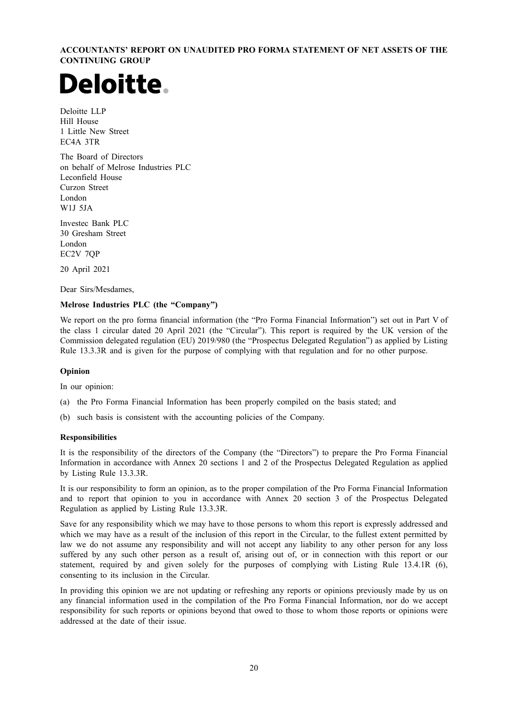**ACCOUNTANTS' REPORT ON UNAUDITED PRO FORMA STATEMENT OF NET ASSETS OF THE CONTINUING GROUP**

# Deloitte.

Deloitte LLP Hill House 1 Little New Street EC4A 3TR

The Board of Directors on behalf of Melrose Industries PLC Leconfield House Curzon Street London W1J 5JA

Investec Bank PLC 30 Gresham Street London EC2V 7QP

20 April 2021

Dear Sirs/Mesdames,

## **Melrose Industries PLC (the "Company")**

We report on the pro forma financial information (the "Pro Forma Financial Information") set out in Part V of the class 1 circular dated 20 April 2021 (the "Circular"). This report is required by the UK version of the Commission delegated regulation (EU) 2019/980 (the "Prospectus Delegated Regulation") as applied by Listing Rule 13.3.3R and is given for the purpose of complying with that regulation and for no other purpose.

#### **Opinion**

In our opinion:

- (a) the Pro Forma Financial Information has been properly compiled on the basis stated; and
- (b) such basis is consistent with the accounting policies of the Company.

#### **Responsibilities**

It is the responsibility of the directors of the Company (the "Directors") to prepare the Pro Forma Financial Information in accordance with Annex 20 sections 1 and 2 of the Prospectus Delegated Regulation as applied by Listing Rule 13.3.3R.

It is our responsibility to form an opinion, as to the proper compilation of the Pro Forma Financial Information and to report that opinion to you in accordance with Annex 20 section 3 of the Prospectus Delegated Regulation as applied by Listing Rule 13.3.3R.

Save for any responsibility which we may have to those persons to whom this report is expressly addressed and which we may have as a result of the inclusion of this report in the Circular, to the fullest extent permitted by law we do not assume any responsibility and will not accept any liability to any other person for any loss suffered by any such other person as a result of, arising out of, or in connection with this report or our statement, required by and given solely for the purposes of complying with Listing Rule 13.4.1R (6), consenting to its inclusion in the Circular.

In providing this opinion we are not updating or refreshing any reports or opinions previously made by us on any financial information used in the compilation of the Pro Forma Financial Information, nor do we accept responsibility for such reports or opinions beyond that owed to those to whom those reports or opinions were addressed at the date of their issue.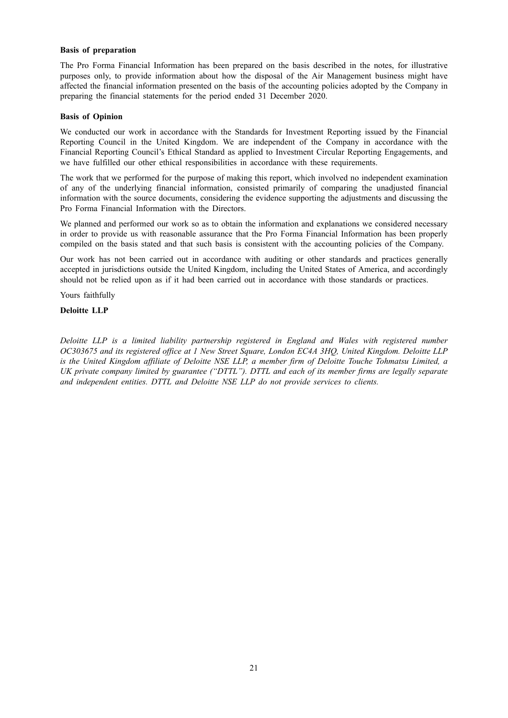#### **Basis of preparation**

The Pro Forma Financial Information has been prepared on the basis described in the notes, for illustrative purposes only, to provide information about how the disposal of the Air Management business might have affected the financial information presented on the basis of the accounting policies adopted by the Company in preparing the financial statements for the period ended 31 December 2020.

#### **Basis of Opinion**

We conducted our work in accordance with the Standards for Investment Reporting issued by the Financial Reporting Council in the United Kingdom. We are independent of the Company in accordance with the Financial Reporting Council's Ethical Standard as applied to Investment Circular Reporting Engagements, and we have fulfilled our other ethical responsibilities in accordance with these requirements.

The work that we performed for the purpose of making this report, which involved no independent examination of any of the underlying financial information, consisted primarily of comparing the unadjusted financial information with the source documents, considering the evidence supporting the adjustments and discussing the Pro Forma Financial Information with the Directors.

We planned and performed our work so as to obtain the information and explanations we considered necessary in order to provide us with reasonable assurance that the Pro Forma Financial Information has been properly compiled on the basis stated and that such basis is consistent with the accounting policies of the Company.

Our work has not been carried out in accordance with auditing or other standards and practices generally accepted in jurisdictions outside the United Kingdom, including the United States of America, and accordingly should not be relied upon as if it had been carried out in accordance with those standards or practices.

Yours faithfully

#### **Deloitte LLP**

*Deloitte LLP is a limited liability partnership registered in England and Wales with registered number OC303675 and its registered office at 1 New Street Square, London EC4A 3HQ, United Kingdom. Deloitte LLP* is the United Kingdom affiliate of Deloitte NSE LLP, a member firm of Deloitte Touche Tohmatsu Limited, a *UK private company limited by guarantee ("DTTL"). DTTL and each of its member firms are legally separate and independent entities. DTTL and Deloitte NSE LLP do not provide services to clients.*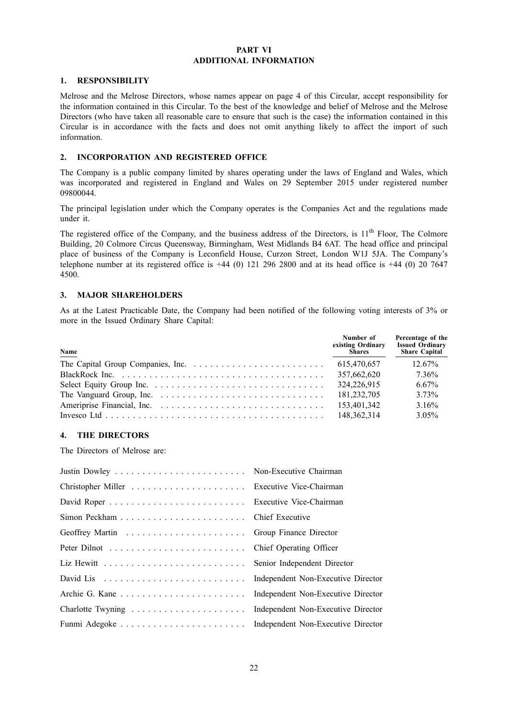#### **PART VI ADDITIONAL INFORMATION**

## **1. RESPONSIBILITY**

Melrose and the Melrose Directors, whose names appear on page 4 of this Circular, accept responsibility for the information contained in this Circular. To the best of the knowledge and belief of Melrose and the Melrose Directors (who have taken all reasonable care to ensure that such is the case) the information contained in this Circular is in accordance with the facts and does not omit anything likely to affect the import of such information.

## **2. INCORPORATION AND REGISTERED OFFICE**

The Company is a public company limited by shares operating under the laws of England and Wales, which was incorporated and registered in England and Wales on 29 September 2015 under registered number 09800044.

The principal legislation under which the Company operates is the Companies Act and the regulations made under it.

The registered office of the Company, and the business address of the Directors, is 11<sup>th</sup> Floor, The Colmore Building, 20 Colmore Circus Queensway, Birmingham, West Midlands B4 6AT. The head office and principal place of business of the Company is Leconfield House, Curzon Street, London W1J 5JA. The Company's telephone number at its registered office is  $+44$  (0) 121 296 2800 and at its head office is  $+44$  (0) 20 7647 4500.

## **3. MAJOR SHAREHOLDERS**

As at the Latest Practicable Date, the Company had been notified of the following voting interests of 3% or more in the Issued Ordinary Share Capital:

| Name | Number of<br>existing Ordinary<br>Shares | Percentage of the<br><b>Issued Ordinary</b><br>Share Capital |
|------|------------------------------------------|--------------------------------------------------------------|
|      | 615.470.657                              | $12.67\%$                                                    |
|      | 357,662,620                              | 7.36%                                                        |
|      | 324.226.915                              | $6.67\%$                                                     |
|      | 181.232.705                              | 3.73%                                                        |
|      | 153.401.342                              | 3.16%                                                        |
|      | 148, 362, 314                            | $3.05\%$                                                     |

## **4. THE DIRECTORS**

The Directors of Melrose are: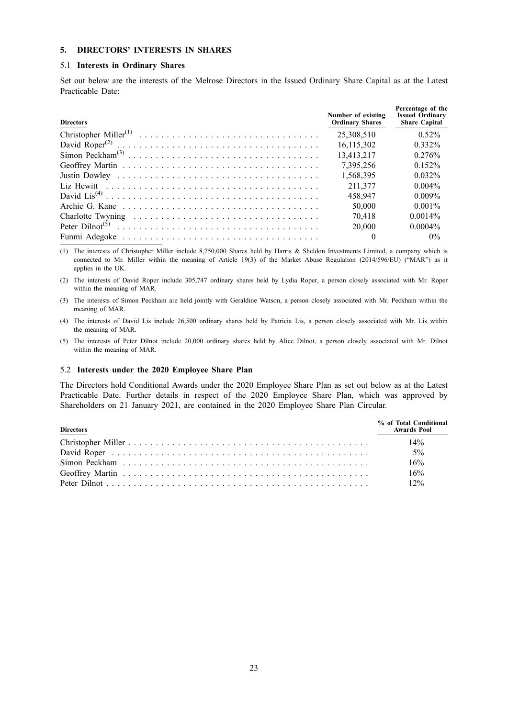## **5. DIRECTORS' INTERESTS IN SHARES**

#### 5.1 **Interests in Ordinary Shares**

Set out below are the interests of the Melrose Directors in the Issued Ordinary Share Capital as at the Latest Practicable Date:

| <b>Directors</b> | Number of existing<br><b>Ordinary Shares</b> | Percentage of the<br><b>Issued Ordinary</b><br><b>Share Capital</b> |
|------------------|----------------------------------------------|---------------------------------------------------------------------|
|                  | 25,308,510                                   | 0.52%                                                               |
|                  | 16,115,302                                   | 0.332%                                                              |
|                  | 13,413,217                                   | 0.276%                                                              |
|                  | 7.395.256                                    | 0.152%                                                              |
|                  | 1,568,395                                    | 0.032%                                                              |
|                  | 211.377                                      | $0.004\%$                                                           |
|                  | 458.947                                      | $0.009\%$                                                           |
|                  | 50,000                                       | $0.001\%$                                                           |
|                  | 70.418                                       | $0.0014\%$                                                          |
|                  | 20.000                                       | $0.0004\%$                                                          |
|                  | $\theta$                                     | $0\%$                                                               |

(1) The interests of Christopher Miller include 8,750,000 Shares held by Harris & Sheldon Investments Limited, a company which is connected to Mr. Miller within the meaning of Article 19(3) of the Market Abuse Regulation (2014/596/EU) ("MAR") as it applies in the UK.

(2) The interests of David Roper include 305,747 ordinary shares held by Lydia Roper, a person closely associated with Mr. Roper within the meaning of MAR.

(3) The interests of Simon Peckham are held jointly with Geraldine Watson, a person closely associated with Mr. Peckham within the meaning of MAR.

(4) The interests of David Lis include 26,500 ordinary shares held by Patricia Lis, a person closely associated with Mr. Lis within the meaning of MAR.

(5) The interests of Peter Dilnot include 20,000 ordinary shares held by Alice Dilnot, a person closely associated with Mr. Dilnot within the meaning of MAR.

## 5.2 **Interests under the 2020 Employee Share Plan**

The Directors hold Conditional Awards under the 2020 Employee Share Plan as set out below as at the Latest Practicable Date. Further details in respect of the 2020 Employee Share Plan, which was approved by Shareholders on 21 January 2021, are contained in the 2020 Employee Share Plan Circular.

| <b>Directors</b> | % of Total Conditional<br><b>Awards Pool</b> |
|------------------|----------------------------------------------|
|                  | 14%                                          |
|                  | $5\%$                                        |
|                  | 16%                                          |
|                  | 16%                                          |
|                  | 12%                                          |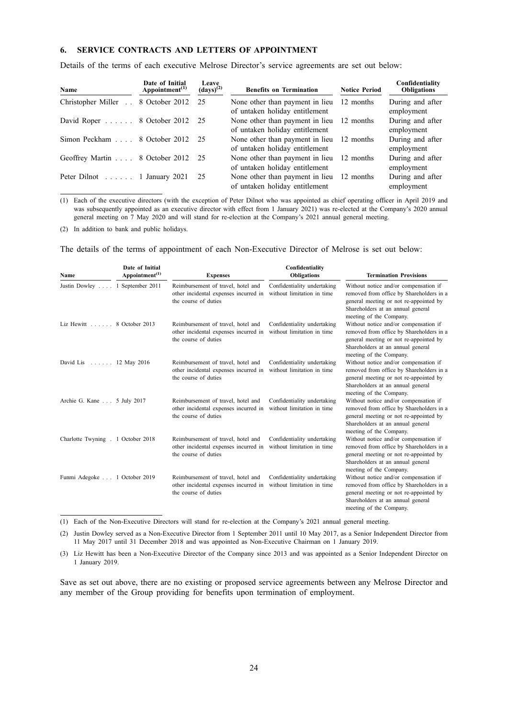## **6. SERVICE CONTRACTS AND LETTERS OF APPOINTMENT**

Details of the terms of each executive Melrose Director's service agreements are set out below:

| Name                                        | Date of Initial<br>Appointment <sup><math>(1)</math></sup> | Leave<br>$\left(\frac{days}{2}\right)$ | <b>Benefits on Termination</b>                                              | <b>Notice Period</b> | Confidentiality<br><b>Obligations</b> |
|---------------------------------------------|------------------------------------------------------------|----------------------------------------|-----------------------------------------------------------------------------|----------------------|---------------------------------------|
| Christopher Miller . 8 October 2012 25      |                                                            |                                        | None other than payment in lieu 12 months<br>of untaken holiday entitlement |                      | During and after<br>employment        |
| David Roper 8 October 2012 25               |                                                            |                                        | None other than payment in lieu<br>of untaken holiday entitlement           | 12 months            | During and after<br>employment        |
| Simon Peckham 8 October 2012 25             |                                                            |                                        | None other than payment in lieu 12 months<br>of untaken holiday entitlement |                      | During and after<br>employment        |
| Geoffrey Martin 8 October 2012 25           |                                                            |                                        | None other than payment in lieu 12 months<br>of untaken holiday entitlement |                      | During and after<br>employment        |
| Peter Dilnot $\ldots \ldots$ 1 January 2021 |                                                            | 25                                     | None other than payment in lieu 12 months<br>of untaken holiday entitlement |                      | During and after<br>employment        |

(1) Each of the executive directors (with the exception of Peter Dilnot who was appointed as chief operating officer in April 2019 and was subsequently appointed as an executive director with effect from 1 January 2021) was re-elected at the Company's 2020 annual general meeting on 7 May 2020 and will stand for re-election at the Company's 2021 annual general meeting.

(2) In addition to bank and public holidays.

The details of the terms of appointment of each Non-Executive Director of Melrose is set out below:

| Name                               | Date of Initial<br>Appointment <sup><math>(1)</math></sup> | <b>Expenses</b>                                                                                     | Confidentiality<br><b>Obligations</b>                     | <b>Termination Provisions</b>                                                                                                                                                               |
|------------------------------------|------------------------------------------------------------|-----------------------------------------------------------------------------------------------------|-----------------------------------------------------------|---------------------------------------------------------------------------------------------------------------------------------------------------------------------------------------------|
| Justin Dowley 1 September 2011     |                                                            | Reimbursement of travel, hotel and<br>other incidental expenses incurred in<br>the course of duties | Confidentiality undertaking<br>without limitation in time | Without notice and/or compensation if<br>removed from office by Shareholders in a<br>general meeting or not re-appointed by<br>Shareholders at an annual general<br>meeting of the Company. |
| Liz Hewitt 8 October 2013          |                                                            | Reimbursement of travel, hotel and<br>other incidental expenses incurred in<br>the course of duties | Confidentiality undertaking<br>without limitation in time | Without notice and/or compensation if<br>removed from office by Shareholders in a<br>general meeting or not re-appointed by<br>Shareholders at an annual general<br>meeting of the Company. |
| David Lis 12 May 2016              |                                                            | Reimbursement of travel, hotel and<br>other incidental expenses incurred in<br>the course of duties | Confidentiality undertaking<br>without limitation in time | Without notice and/or compensation if<br>removed from office by Shareholders in a<br>general meeting or not re-appointed by<br>Shareholders at an annual general<br>meeting of the Company. |
| Archie G. Kane 5 July 2017         |                                                            | Reimbursement of travel, hotel and<br>other incidental expenses incurred in<br>the course of duties | Confidentiality undertaking<br>without limitation in time | Without notice and/or compensation if<br>removed from office by Shareholders in a<br>general meeting or not re-appointed by<br>Shareholders at an annual general<br>meeting of the Company. |
| Charlotte Twyning . 1 October 2018 |                                                            | Reimbursement of travel, hotel and<br>other incidental expenses incurred in<br>the course of duties | Confidentiality undertaking<br>without limitation in time | Without notice and/or compensation if<br>removed from office by Shareholders in a<br>general meeting or not re-appointed by<br>Shareholders at an annual general<br>meeting of the Company. |
| Funmi Adegoke 1 October 2019       |                                                            | Reimbursement of travel, hotel and<br>other incidental expenses incurred in<br>the course of duties | Confidentiality undertaking<br>without limitation in time | Without notice and/or compensation if<br>removed from office by Shareholders in a<br>general meeting or not re-appointed by<br>Shareholders at an annual general<br>meeting of the Company. |

(1) Each of the Non-Executive Directors will stand for re-election at the Company's 2021 annual general meeting.

(2) Justin Dowley served as a Non-Executive Director from 1 September 2011 until 10 May 2017, as a Senior Independent Director from 11 May 2017 until 31 December 2018 and was appointed as Non-Executive Chairman on 1 January 2019.

(3) Liz Hewitt has been a Non-Executive Director of the Company since 2013 and was appointed as a Senior Independent Director on 1 January 2019.

Save as set out above, there are no existing or proposed service agreements between any Melrose Director and any member of the Group providing for benefits upon termination of employment.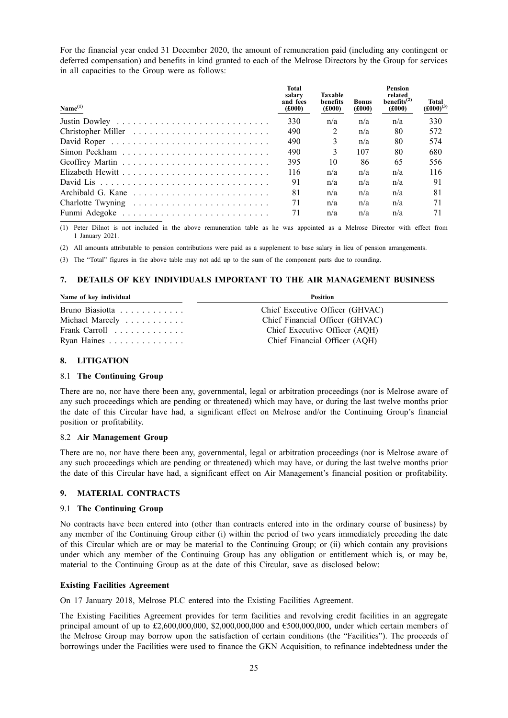For the financial year ended 31 December 2020, the amount of remuneration paid (including any contingent or deferred compensation) and benefits in kind granted to each of the Melrose Directors by the Group for services in all capacities to the Group were as follows:

| Name <sup>(1)</sup> | <b>Total</b><br>salary<br>and fees<br>(f000) | Taxable<br><b>benefits</b><br>(f000) | <b>Bonus</b><br>(£000) | <b>Pension</b><br>related<br>benefits $^{(2)}$<br>(f000) | Total<br>$(\pmb{\pounds}000)^{(3)}$ |
|---------------------|----------------------------------------------|--------------------------------------|------------------------|----------------------------------------------------------|-------------------------------------|
|                     | 330                                          | n/a                                  | n/a                    | n/a                                                      | 330                                 |
|                     | 490                                          | 2                                    | n/a                    | 80                                                       | 572                                 |
|                     | 490                                          | $\mathcal{E}$                        | n/a                    | 80                                                       | 574                                 |
|                     | 490                                          | $\mathcal{E}$                        | 107                    | 80                                                       | 680                                 |
|                     | 395                                          | 10                                   | 86                     | 65                                                       | 556                                 |
|                     | 116                                          | n/a                                  | n/a                    | n/a                                                      | 116                                 |
|                     | 91                                           | n/a                                  | n/a                    | n/a                                                      | 91                                  |
|                     | 81                                           | n/a                                  | n/a                    | n/a                                                      | 81                                  |
|                     | 71                                           | n/a                                  | n/a                    | n/a                                                      | 71                                  |
|                     | 71                                           | n/a                                  | n/a                    | n/a                                                      | 71                                  |

(1) Peter Dilnot is not included in the above remuneration table as he was appointed as a Melrose Director with effect from 1 January 2021.

(2) All amounts attributable to pension contributions were paid as a supplement to base salary in lieu of pension arrangements.

(3) The "Total" figures in the above table may not add up to the sum of the component parts due to rounding.

## **7. DETAILS OF KEY INDIVIDUALS IMPORTANT TO THE AIR MANAGEMENT BUSINESS**

| Name of key individual                      | <b>Position</b>                 |  |  |
|---------------------------------------------|---------------------------------|--|--|
| Bruno Biasiotta                             | Chief Executive Officer (GHVAC) |  |  |
| Michael Marcely                             | Chief Financial Officer (GHVAC) |  |  |
| Frank Carroll $\ldots \ldots \ldots \ldots$ | Chief Executive Officer (AOH)   |  |  |
| Ryan Haines                                 | Chief Financial Officer (AQH)   |  |  |

## **8. LITIGATION**

#### 8.1 **The Continuing Group**

There are no, nor have there been any, governmental, legal or arbitration proceedings (nor is Melrose aware of any such proceedings which are pending or threatened) which may have, or during the last twelve months prior the date of this Circular have had, a significant effect on Melrose and/or the Continuing Group's financial position or profitability.

#### 8.2 **Air Management Group**

There are no, nor have there been any, governmental, legal or arbitration proceedings (nor is Melrose aware of any such proceedings which are pending or threatened) which may have, or during the last twelve months prior the date of this Circular have had, a significant effect on Air Management's financial position or profitability.

## **9. MATERIAL CONTRACTS**

#### 9.1 **The Continuing Group**

No contracts have been entered into (other than contracts entered into in the ordinary course of business) by any member of the Continuing Group either (i) within the period of two years immediately preceding the date of this Circular which are or may be material to the Continuing Group; or (ii) which contain any provisions under which any member of the Continuing Group has any obligation or entitlement which is, or may be, material to the Continuing Group as at the date of this Circular, save as disclosed below:

## **Existing Facilities Agreement**

On 17 January 2018, Melrose PLC entered into the Existing Facilities Agreement.

The Existing Facilities Agreement provides for term facilities and revolving credit facilities in an aggregate principal amount of up to £2,600,000,000, \$2,000,000,000 and  $\epsilon$ 500,000,000, under which certain members of the Melrose Group may borrow upon the satisfaction of certain conditions (the "Facilities"). The proceeds of borrowings under the Facilities were used to finance the GKN Acquisition, to refinance indebtedness under the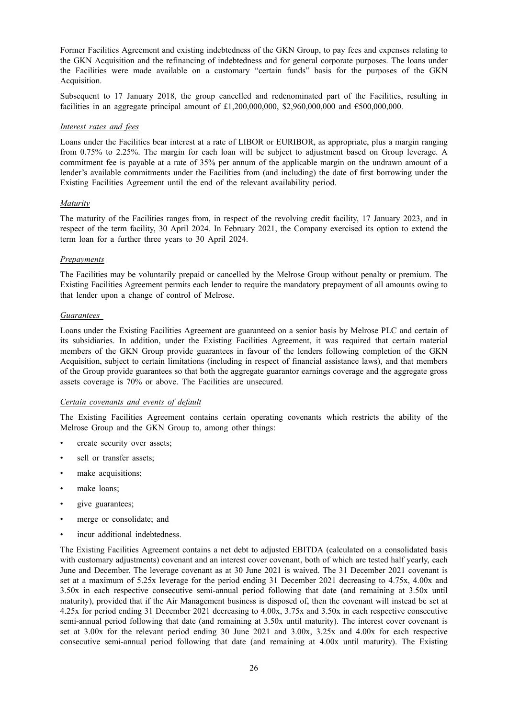Former Facilities Agreement and existing indebtedness of the GKN Group, to pay fees and expenses relating to the GKN Acquisition and the refinancing of indebtedness and for general corporate purposes. The loans under the Facilities were made available on a customary "certain funds" basis for the purposes of the GKN Acquisition.

Subsequent to 17 January 2018, the group cancelled and redenominated part of the Facilities, resulting in facilities in an aggregate principal amount of £1,200,000,000, \$2,960,000,000 and  $€500,000,000$ .

#### *Interest rates and fees*

Loans under the Facilities bear interest at a rate of LIBOR or EURIBOR, as appropriate, plus a margin ranging from 0.75% to 2.25%. The margin for each loan will be subject to adjustment based on Group leverage. A commitment fee is payable at a rate of 35% per annum of the applicable margin on the undrawn amount of a lender's available commitments under the Facilities from (and including) the date of first borrowing under the Existing Facilities Agreement until the end of the relevant availability period.

## *Maturity*

The maturity of the Facilities ranges from, in respect of the revolving credit facility, 17 January 2023, and in respect of the term facility, 30 April 2024. In February 2021, the Company exercised its option to extend the term loan for a further three years to 30 April 2024.

## *Prepayments*

The Facilities may be voluntarily prepaid or cancelled by the Melrose Group without penalty or premium. The Existing Facilities Agreement permits each lender to require the mandatory prepayment of all amounts owing to that lender upon a change of control of Melrose.

#### *Guarantees*

Loans under the Existing Facilities Agreement are guaranteed on a senior basis by Melrose PLC and certain of its subsidiaries. In addition, under the Existing Facilities Agreement, it was required that certain material members of the GKN Group provide guarantees in favour of the lenders following completion of the GKN Acquisition, subject to certain limitations (including in respect of financial assistance laws), and that members of the Group provide guarantees so that both the aggregate guarantor earnings coverage and the aggregate gross assets coverage is 70% or above. The Facilities are unsecured.

## *Certain covenants and events of default*

The Existing Facilities Agreement contains certain operating covenants which restricts the ability of the Melrose Group and the GKN Group to, among other things:

- create security over assets;
- sell or transfer assets;
- make acquisitions;
- make loans;
- give guarantees;
- merge or consolidate; and
- incur additional indebtedness.

The Existing Facilities Agreement contains a net debt to adjusted EBITDA (calculated on a consolidated basis with customary adjustments) covenant and an interest cover covenant, both of which are tested half yearly, each June and December. The leverage covenant as at 30 June 2021 is waived. The 31 December 2021 covenant is set at a maximum of 5.25x leverage for the period ending 31 December 2021 decreasing to 4.75x, 4.00x and 3.50x in each respective consecutive semi-annual period following that date (and remaining at 3.50x until maturity), provided that if the Air Management business is disposed of, then the covenant will instead be set at 4.25x for period ending 31 December 2021 decreasing to 4.00x, 3.75x and 3.50x in each respective consecutive semi-annual period following that date (and remaining at 3.50x until maturity). The interest cover covenant is set at 3.00x for the relevant period ending 30 June 2021 and 3.00x, 3.25x and 4.00x for each respective consecutive semi-annual period following that date (and remaining at 4.00x until maturity). The Existing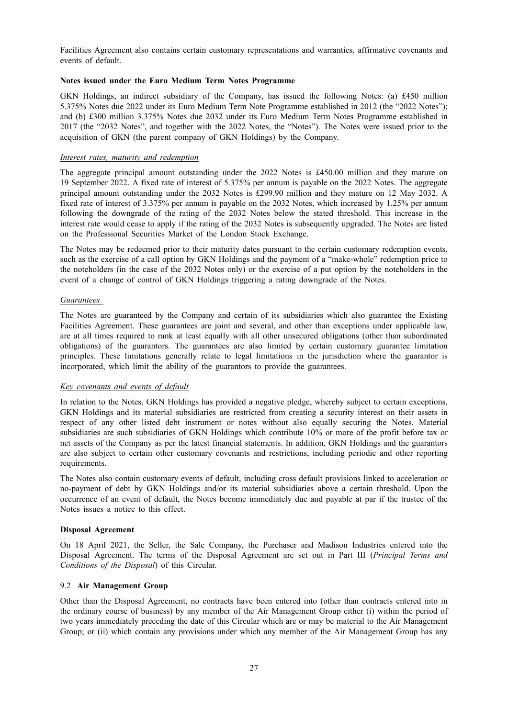Facilities Agreement also contains certain customary representations and warranties, affirmative covenants and events of default.

## **Notes issued under the Euro Medium Term Notes Programme**

GKN Holdings, an indirect subsidiary of the Company, has issued the following Notes: (a) £450 million 5.375% Notes due 2022 under its Euro Medium Term Note Programme established in 2012 (the "2022 Notes"); and (b) £300 million 3.375% Notes due 2032 under its Euro Medium Term Notes Programme established in 2017 (the "2032 Notes", and together with the 2022 Notes, the "Notes"). The Notes were issued prior to the acquisition of GKN (the parent company of GKN Holdings) by the Company.

#### *Interest rates, maturity and redemption*

The aggregate principal amount outstanding under the 2022 Notes is £450.00 million and they mature on 19 September 2022. A fixed rate of interest of 5.375% per annum is payable on the 2022 Notes. The aggregate principal amount outstanding under the 2032 Notes is £299.90 million and they mature on 12 May 2032. A fixed rate of interest of 3.375% per annum is payable on the 2032 Notes, which increased by 1.25% per annum following the downgrade of the rating of the 2032 Notes below the stated threshold. This increase in the interest rate would cease to apply if the rating of the 2032 Notes is subsequently upgraded. The Notes are listed on the Professional Securities Market of the London Stock Exchange.

The Notes may be redeemed prior to their maturity dates pursuant to the certain customary redemption events, such as the exercise of a call option by GKN Holdings and the payment of a "make-whole" redemption price to the noteholders (in the case of the 2032 Notes only) or the exercise of a put option by the noteholders in the event of a change of control of GKN Holdings triggering a rating downgrade of the Notes.

#### *Guarantees*

The Notes are guaranteed by the Company and certain of its subsidiaries which also guarantee the Existing Facilities Agreement. These guarantees are joint and several, and other than exceptions under applicable law, are at all times required to rank at least equally with all other unsecured obligations (other than subordinated obligations) of the guarantors. The guarantees are also limited by certain customary guarantee limitation principles. These limitations generally relate to legal limitations in the jurisdiction where the guarantor is incorporated, which limit the ability of the guarantors to provide the guarantees.

## *Key covenants and events of default*

In relation to the Notes, GKN Holdings has provided a negative pledge, whereby subject to certain exceptions, GKN Holdings and its material subsidiaries are restricted from creating a security interest on their assets in respect of any other listed debt instrument or notes without also equally securing the Notes. Material subsidiaries are such subsidiaries of GKN Holdings which contribute 10% or more of the profit before tax or net assets of the Company as per the latest financial statements. In addition, GKN Holdings and the guarantors are also subject to certain other customary covenants and restrictions, including periodic and other reporting requirements.

The Notes also contain customary events of default, including cross default provisions linked to acceleration or no-payment of debt by GKN Holdings and/or its material subsidiaries above a certain threshold. Upon the occurrence of an event of default, the Notes become immediately due and payable at par if the trustee of the Notes issues a notice to this effect.

#### **Disposal Agreement**

On 18 April 2021, the Seller, the Sale Company, the Purchaser and Madison Industries entered into the Disposal Agreement. The terms of the Disposal Agreement are set out in Part III (*Principal Terms and Conditions of the Disposal*) of this Circular.

#### 9.2 **Air Management Group**

Other than the Disposal Agreement, no contracts have been entered into (other than contracts entered into in the ordinary course of business) by any member of the Air Management Group either (i) within the period of two years immediately preceding the date of this Circular which are or may be material to the Air Management Group; or (ii) which contain any provisions under which any member of the Air Management Group has any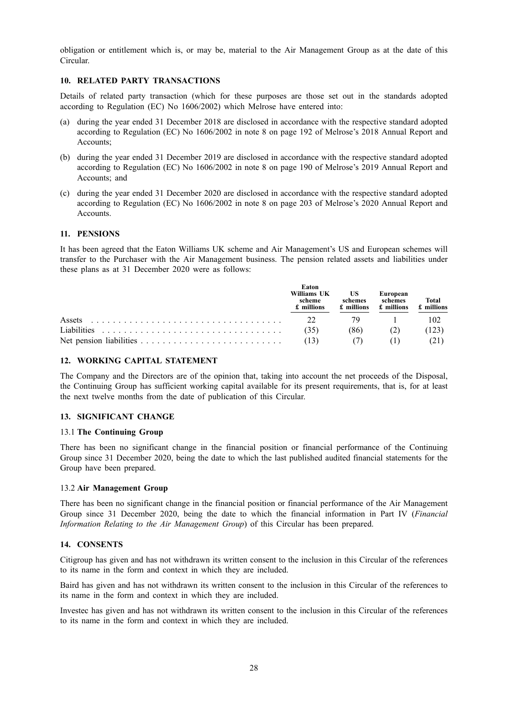obligation or entitlement which is, or may be, material to the Air Management Group as at the date of this Circular.

## **10. RELATED PARTY TRANSACTIONS**

Details of related party transaction (which for these purposes are those set out in the standards adopted according to Regulation (EC) No 1606/2002) which Melrose have entered into:

- (a) during the year ended 31 December 2018 are disclosed in accordance with the respective standard adopted according to Regulation (EC) No 1606/2002 in note 8 on page 192 of Melrose's 2018 Annual Report and Accounts;
- (b) during the year ended 31 December 2019 are disclosed in accordance with the respective standard adopted according to Regulation (EC) No 1606/2002 in note 8 on page 190 of Melrose's 2019 Annual Report and Accounts; and
- (c) during the year ended 31 December 2020 are disclosed in accordance with the respective standard adopted according to Regulation (EC) No 1606/2002 in note 8 on page 203 of Melrose's 2020 Annual Report and Accounts.

#### **11. PENSIONS**

It has been agreed that the Eaton Williams UK scheme and Air Management's US and European schemes will transfer to the Purchaser with the Air Management business. The pension related assets and liabilities under these plans as at 31 December 2020 were as follows:

|             | Eaton<br>Williams UK<br>scheme<br>£ millions | US<br>schemes<br>£ millions | European<br>schemes<br>£ millions | <b>Total</b><br>£ millions |
|-------------|----------------------------------------------|-----------------------------|-----------------------------------|----------------------------|
| Assets      | 22                                           |                             |                                   | 102                        |
| Liabilities | (35)                                         | (86)                        |                                   | 123                        |
|             | (13)                                         |                             |                                   |                            |

#### **12. WORKING CAPITAL STATEMENT**

The Company and the Directors are of the opinion that, taking into account the net proceeds of the Disposal, the Continuing Group has sufficient working capital available for its present requirements, that is, for at least the next twelve months from the date of publication of this Circular.

#### **13. SIGNIFICANT CHANGE**

## 13.1 **The Continuing Group**

There has been no significant change in the financial position or financial performance of the Continuing Group since 31 December 2020, being the date to which the last published audited financial statements for the Group have been prepared.

#### 13.2 **Air Management Group**

There has been no significant change in the financial position or financial performance of the Air Management Group since 31 December 2020, being the date to which the financial information in Part IV (*Financial Information Relating to the Air Management Group*) of this Circular has been prepared.

## **14. CONSENTS**

Citigroup has given and has not withdrawn its written consent to the inclusion in this Circular of the references to its name in the form and context in which they are included.

Baird has given and has not withdrawn its written consent to the inclusion in this Circular of the references to its name in the form and context in which they are included.

Investec has given and has not withdrawn its written consent to the inclusion in this Circular of the references to its name in the form and context in which they are included.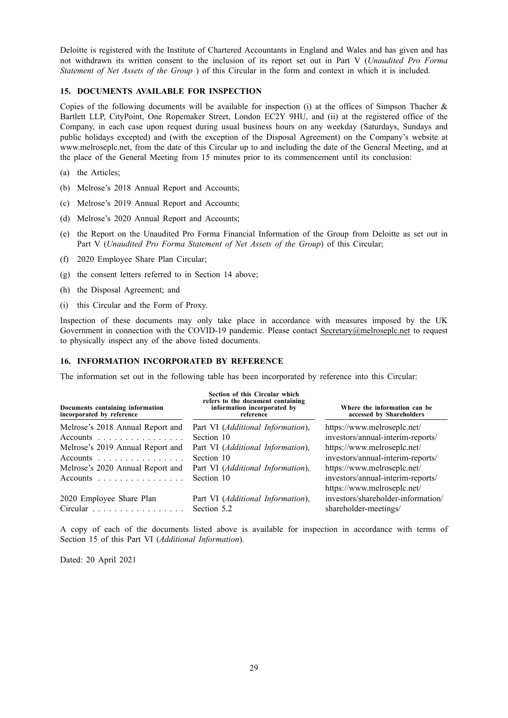Deloitte is registered with the Institute of Chartered Accountants in England and Wales and has given and has not withdrawn its written consent to the inclusion of its report set out in Part V (*Unaudited Pro Forma Statement of Net Assets of the Group* ) of this Circular in the form and context in which it is included.

#### **15. DOCUMENTS AVAILABLE FOR INSPECTION**

Copies of the following documents will be available for inspection (i) at the offices of Simpson Thacher  $\&$ Bartlett LLP, CityPoint, One Ropemaker Street, London EC2Y 9HU, and (ii) at the registered office of the Company, in each case upon request during usual business hours on any weekday (Saturdays, Sundays and public holidays excepted) and (with the exception of the Disposal Agreement) on the Company's website at www.melroseplc.net, from the date of this Circular up to and including the date of the General Meeting, and at the place of the General Meeting from 15 minutes prior to its commencement until its conclusion:

- (a) the Articles;
- (b) Melrose's 2018 Annual Report and Accounts;
- (c) Melrose's 2019 Annual Report and Accounts;
- (d) Melrose's 2020 Annual Report and Accounts;
- (e) the Report on the Unaudited Pro Forma Financial Information of the Group from Deloitte as set out in Part V (*Unaudited Pro Forma Statement of Net Assets of the Group*) of this Circular;
- (f) 2020 Employee Share Plan Circular;
- (g) the consent letters referred to in Section 14 above;
- (h) the Disposal Agreement; and
- (i) this Circular and the Form of Proxy.

Inspection of these documents may only take place in accordance with measures imposed by the UK Government in connection with the COVID-19 pandemic. Please contact Secretary@melroseplc.net to request to physically inspect any of the above listed documents.

#### **16. INFORMATION INCORPORATED BY REFERENCE**

The information set out in the following table has been incorporated by reference into this Circular:

| Documents containing information<br>incorporated by reference                     | Section of this Circular which<br>refers to the document containing<br>information incorporated by<br>reference | Where the information can be<br>accessed by Shareholders                                        |
|-----------------------------------------------------------------------------------|-----------------------------------------------------------------------------------------------------------------|-------------------------------------------------------------------------------------------------|
| Melrose's 2018 Annual Report and                                                  | Part VI ( <i>Additional Information</i> ),                                                                      | https://www.melroseplc.net/                                                                     |
| Accounts                                                                          | Section 10                                                                                                      | investors/annual-interim-reports/                                                               |
| Melrose's 2019 Annual Report and                                                  | Part VI (Additional Information),                                                                               | https://www.melroseplc.net/                                                                     |
| Accounts $\ldots \ldots \ldots \ldots \ldots$                                     | Section 10                                                                                                      | investors/annual-interim-reports/                                                               |
| Melrose's 2020 Annual Report and<br>Accounts $\ldots \ldots \ldots \ldots \ldots$ | Part VI (Additional Information),<br>Section 10                                                                 | https://www.melroseplc.net/<br>investors/annual-interim-reports/<br>https://www.melroseplc.net/ |
| 2020 Employee Share Plan                                                          | Part VI (Additional Information),                                                                               | investors/shareholder-information/                                                              |
| Circular                                                                          | Section 5.2                                                                                                     | shareholder-meetings/                                                                           |

A copy of each of the documents listed above is available for inspection in accordance with terms of Section 15 of this Part VI (*Additional Information*).

Dated: 20 April 2021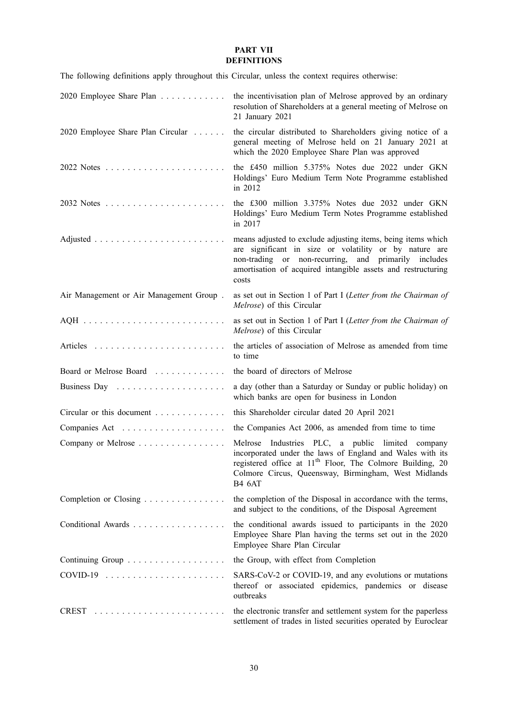## **PART VII DEFINITIONS**

|  |  | The following definitions apply throughout this Circular, unless the context requires otherwise: |  |  |  |
|--|--|--------------------------------------------------------------------------------------------------|--|--|--|
|  |  |                                                                                                  |  |  |  |

| 2020 Employee Share Plan                            | the incentivisation plan of Melrose approved by an ordinary<br>resolution of Shareholders at a general meeting of Melrose on<br>21 January 2021                                                                                                                 |
|-----------------------------------------------------|-----------------------------------------------------------------------------------------------------------------------------------------------------------------------------------------------------------------------------------------------------------------|
| 2020 Employee Share Plan Circular                   | the circular distributed to Shareholders giving notice of a<br>general meeting of Melrose held on 21 January 2021 at<br>which the 2020 Employee Share Plan was approved                                                                                         |
|                                                     | the £450 million 5.375% Notes due 2022 under GKN<br>Holdings' Euro Medium Term Note Programme established<br>in 2012                                                                                                                                            |
|                                                     | the £300 million 3.375% Notes due 2032 under GKN<br>Holdings' Euro Medium Term Notes Programme established<br>in 2017                                                                                                                                           |
|                                                     | means adjusted to exclude adjusting items, being items which<br>are significant in size or volatility or by nature are<br>non-trading or non-recurring, and primarily includes<br>amortisation of acquired intangible assets and restructuring<br>costs         |
| Air Management or Air Management Group.             | as set out in Section 1 of Part I (Letter from the Chairman of<br>Melrose) of this Circular                                                                                                                                                                     |
|                                                     | as set out in Section 1 of Part I (Letter from the Chairman of<br>Melrose) of this Circular                                                                                                                                                                     |
|                                                     | the articles of association of Melrose as amended from time<br>to time                                                                                                                                                                                          |
| Board or Melrose Board                              | the board of directors of Melrose                                                                                                                                                                                                                               |
|                                                     | a day (other than a Saturday or Sunday or public holiday) on<br>which banks are open for business in London                                                                                                                                                     |
| Circular or this document $\dots \dots \dots \dots$ | this Shareholder circular dated 20 April 2021                                                                                                                                                                                                                   |
|                                                     | the Companies Act 2006, as amended from time to time                                                                                                                                                                                                            |
| Company or Melrose                                  | Melrose Industries PLC, a public limited company<br>incorporated under the laws of England and Wales with its<br>registered office at 11 <sup>th</sup> Floor, The Colmore Building, 20<br>Colmore Circus, Queensway, Birmingham, West Midlands<br><b>B4 6AT</b> |
| Completion or Closing                               | the completion of the Disposal in accordance with the terms,<br>and subject to the conditions, of the Disposal Agreement                                                                                                                                        |
| Conditional Awards                                  | the conditional awards issued to participants in the 2020<br>Employee Share Plan having the terms set out in the 2020<br>Employee Share Plan Circular                                                                                                           |
|                                                     | the Group, with effect from Completion                                                                                                                                                                                                                          |
|                                                     | SARS-CoV-2 or COVID-19, and any evolutions or mutations<br>thereof or associated epidemics, pandemics or disease<br>outbreaks                                                                                                                                   |
|                                                     | the electronic transfer and settlement system for the paperless<br>settlement of trades in listed securities operated by Euroclear                                                                                                                              |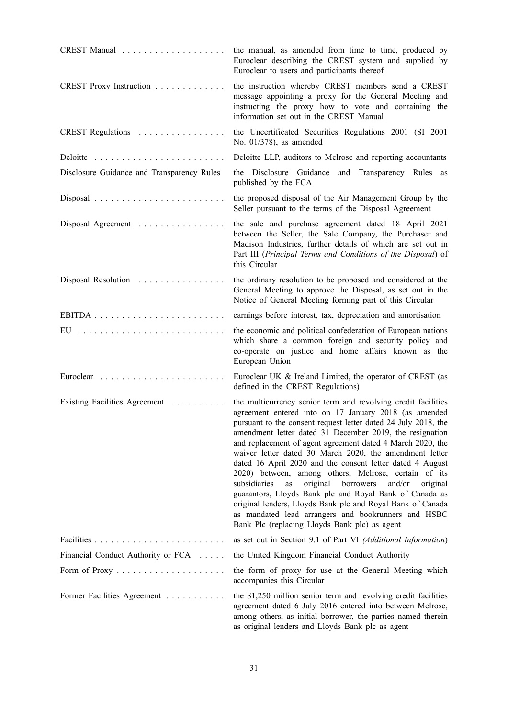|                                            | the manual, as amended from time to time, produced by<br>Euroclear describing the CREST system and supplied by<br>Euroclear to users and participants thereof                                                                                                                                                                                                                                                                                                                                                                                                                                                                                                                                                                                                                                            |
|--------------------------------------------|----------------------------------------------------------------------------------------------------------------------------------------------------------------------------------------------------------------------------------------------------------------------------------------------------------------------------------------------------------------------------------------------------------------------------------------------------------------------------------------------------------------------------------------------------------------------------------------------------------------------------------------------------------------------------------------------------------------------------------------------------------------------------------------------------------|
| CREST Proxy Instruction                    | the instruction whereby CREST members send a CREST<br>message appointing a proxy for the General Meeting and<br>instructing the proxy how to vote and containing the<br>information set out in the CREST Manual                                                                                                                                                                                                                                                                                                                                                                                                                                                                                                                                                                                          |
| CREST Regulations                          | the Uncertificated Securities Regulations 2001 (SI 2001<br>No. $01/378$ ), as amended                                                                                                                                                                                                                                                                                                                                                                                                                                                                                                                                                                                                                                                                                                                    |
|                                            | Deloitte LLP, auditors to Melrose and reporting accountants                                                                                                                                                                                                                                                                                                                                                                                                                                                                                                                                                                                                                                                                                                                                              |
| Disclosure Guidance and Transparency Rules | the Disclosure Guidance and Transparency Rules as<br>published by the FCA                                                                                                                                                                                                                                                                                                                                                                                                                                                                                                                                                                                                                                                                                                                                |
|                                            | the proposed disposal of the Air Management Group by the<br>Seller pursuant to the terms of the Disposal Agreement                                                                                                                                                                                                                                                                                                                                                                                                                                                                                                                                                                                                                                                                                       |
| Disposal Agreement                         | the sale and purchase agreement dated 18 April 2021<br>between the Seller, the Sale Company, the Purchaser and<br>Madison Industries, further details of which are set out in<br>Part III (Principal Terms and Conditions of the Disposal) of<br>this Circular                                                                                                                                                                                                                                                                                                                                                                                                                                                                                                                                           |
| Disposal Resolution                        | the ordinary resolution to be proposed and considered at the<br>General Meeting to approve the Disposal, as set out in the<br>Notice of General Meeting forming part of this Circular                                                                                                                                                                                                                                                                                                                                                                                                                                                                                                                                                                                                                    |
|                                            | earnings before interest, tax, depreciation and amortisation                                                                                                                                                                                                                                                                                                                                                                                                                                                                                                                                                                                                                                                                                                                                             |
| EU                                         | the economic and political confederation of European nations<br>which share a common foreign and security policy and<br>co-operate on justice and home affairs known as the<br>European Union                                                                                                                                                                                                                                                                                                                                                                                                                                                                                                                                                                                                            |
|                                            | Euroclear UK & Ireland Limited, the operator of CREST (as<br>defined in the CREST Regulations)                                                                                                                                                                                                                                                                                                                                                                                                                                                                                                                                                                                                                                                                                                           |
| Existing Facilities Agreement              | the multicurrency senior term and revolving credit facilities<br>agreement entered into on 17 January 2018 (as amended<br>pursuant to the consent request letter dated 24 July 2018, the<br>amendment letter dated 31 December 2019, the resignation<br>and replacement of agent agreement dated 4 March 2020, the<br>waiver letter dated 30 March 2020, the amendment letter<br>dated 16 April 2020 and the consent letter dated 4 August<br>2020) between, among others, Melrose, certain of its<br>subsidiaries<br>original<br>borrowers<br>and/or<br>as<br>original<br>guarantors, Lloyds Bank plc and Royal Bank of Canada as<br>original lenders, Lloyds Bank plc and Royal Bank of Canada<br>as mandated lead arrangers and bookrunners and HSBC<br>Bank Plc (replacing Lloyds Bank plc) as agent |
|                                            | as set out in Section 9.1 of Part VI (Additional Information)                                                                                                                                                                                                                                                                                                                                                                                                                                                                                                                                                                                                                                                                                                                                            |
| Financial Conduct Authority or FCA         | the United Kingdom Financial Conduct Authority                                                                                                                                                                                                                                                                                                                                                                                                                                                                                                                                                                                                                                                                                                                                                           |
|                                            | the form of proxy for use at the General Meeting which<br>accompanies this Circular                                                                                                                                                                                                                                                                                                                                                                                                                                                                                                                                                                                                                                                                                                                      |
| Former Facilities Agreement                | the \$1,250 million senior term and revolving credit facilities<br>agreement dated 6 July 2016 entered into between Melrose,<br>among others, as initial borrower, the parties named therein<br>as original lenders and Lloyds Bank plc as agent                                                                                                                                                                                                                                                                                                                                                                                                                                                                                                                                                         |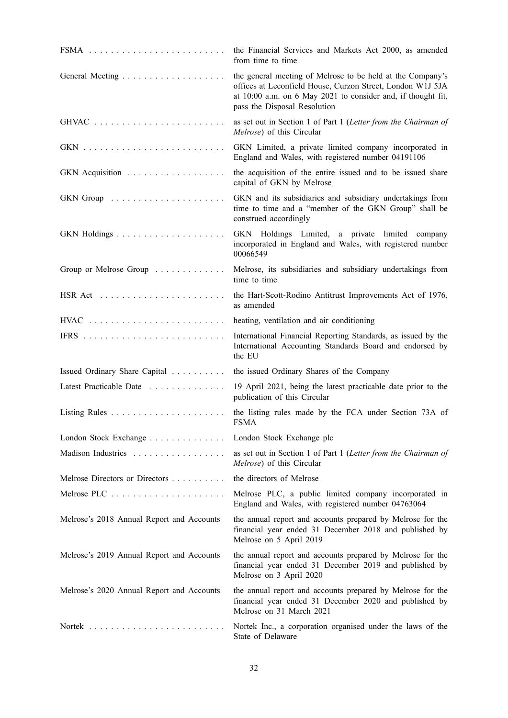|                                           | the Financial Services and Markets Act 2000, as amended<br>from time to time                                                                                                                                             |
|-------------------------------------------|--------------------------------------------------------------------------------------------------------------------------------------------------------------------------------------------------------------------------|
|                                           | the general meeting of Melrose to be held at the Company's<br>offices at Leconfield House, Curzon Street, London W1J 5JA<br>at 10:00 a.m. on 6 May 2021 to consider and, if thought fit,<br>pass the Disposal Resolution |
|                                           | as set out in Section 1 of Part 1 (Letter from the Chairman of<br>Melrose) of this Circular                                                                                                                              |
|                                           | GKN Limited, a private limited company incorporated in<br>England and Wales, with registered number 04191106                                                                                                             |
| GKN Acquisition                           | the acquisition of the entire issued and to be issued share<br>capital of GKN by Melrose                                                                                                                                 |
|                                           | GKN and its subsidiaries and subsidiary undertakings from<br>time to time and a "member of the GKN Group" shall be<br>construed accordingly                                                                              |
|                                           | GKN Holdings Limited, a private limited company<br>incorporated in England and Wales, with registered number<br>00066549                                                                                                 |
| Group or Melrose Group                    | Melrose, its subsidiaries and subsidiary undertakings from<br>time to time                                                                                                                                               |
| $\text{HSR Act}$                          | the Hart-Scott-Rodino Antitrust Improvements Act of 1976,<br>as amended                                                                                                                                                  |
|                                           | heating, ventilation and air conditioning                                                                                                                                                                                |
|                                           | International Financial Reporting Standards, as issued by the<br>International Accounting Standards Board and endorsed by<br>the EU                                                                                      |
| Issued Ordinary Share Capital             | the issued Ordinary Shares of the Company                                                                                                                                                                                |
| Latest Practicable Date                   | 19 April 2021, being the latest practicable date prior to the<br>publication of this Circular                                                                                                                            |
|                                           | the listing rules made by the FCA under Section 73A of<br><b>FSMA</b>                                                                                                                                                    |
| London Stock Exchange                     | London Stock Exchange plc                                                                                                                                                                                                |
| Madison Industries                        | as set out in Section 1 of Part 1 (Letter from the Chairman of<br>Melrose) of this Circular                                                                                                                              |
| Melrose Directors or Directors            | the directors of Melrose                                                                                                                                                                                                 |
|                                           | Melrose PLC, a public limited company incorporated in<br>England and Wales, with registered number 04763064                                                                                                              |
| Melrose's 2018 Annual Report and Accounts | the annual report and accounts prepared by Melrose for the<br>financial year ended 31 December 2018 and published by<br>Melrose on 5 April 2019                                                                          |
| Melrose's 2019 Annual Report and Accounts | the annual report and accounts prepared by Melrose for the<br>financial year ended 31 December 2019 and published by<br>Melrose on 3 April 2020                                                                          |
| Melrose's 2020 Annual Report and Accounts | the annual report and accounts prepared by Melrose for the<br>financial year ended 31 December 2020 and published by<br>Melrose on 31 March 2021                                                                         |
|                                           | Nortek Inc., a corporation organised under the laws of the<br>State of Delaware                                                                                                                                          |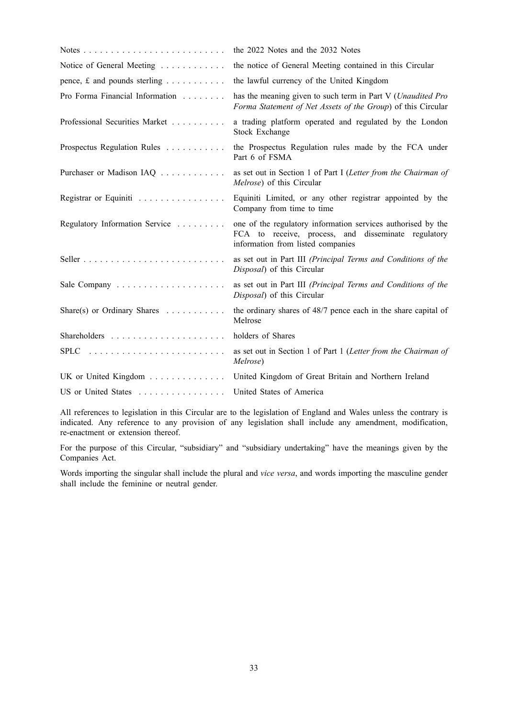|                                                 | the 2022 Notes and the 2032 Notes                                                                                                                        |
|-------------------------------------------------|----------------------------------------------------------------------------------------------------------------------------------------------------------|
| Notice of General Meeting                       | the notice of General Meeting contained in this Circular                                                                                                 |
| pence, $f$ and pounds sterling                  | the lawful currency of the United Kingdom                                                                                                                |
| Pro Forma Financial Information                 | has the meaning given to such term in Part V (Unaudited Pro<br>Forma Statement of Net Assets of the Group) of this Circular                              |
| Professional Securities Market                  | a trading platform operated and regulated by the London<br>Stock Exchange                                                                                |
| Prospectus Regulation Rules                     | the Prospectus Regulation rules made by the FCA under<br>Part 6 of FSMA                                                                                  |
| Purchaser or Madison IAQ                        | as set out in Section 1 of Part I (Letter from the Chairman of<br>Melrose) of this Circular                                                              |
| Registrar or Equiniti                           | Equiniti Limited, or any other registrar appointed by the<br>Company from time to time                                                                   |
| Regulatory Information Service                  | one of the regulatory information services authorised by the<br>FCA to receive, process, and disseminate regulatory<br>information from listed companies |
|                                                 | as set out in Part III (Principal Terms and Conditions of the<br>Disposal) of this Circular                                                              |
|                                                 | as set out in Part III (Principal Terms and Conditions of the<br>Disposal) of this Circular                                                              |
| Share(s) or Ordinary Shares $\dots \dots \dots$ | the ordinary shares of 48/7 pence each in the share capital of<br>Melrose                                                                                |
|                                                 | holders of Shares                                                                                                                                        |
|                                                 | as set out in Section 1 of Part 1 (Letter from the Chairman of<br>Melrose)                                                                               |
| UK or United Kingdom                            | United Kingdom of Great Britain and Northern Ireland                                                                                                     |
| US or United States                             | United States of America                                                                                                                                 |

All references to legislation in this Circular are to the legislation of England and Wales unless the contrary is indicated. Any reference to any provision of any legislation shall include any amendment, modification, re-enactment or extension thereof.

For the purpose of this Circular, "subsidiary" and "subsidiary undertaking" have the meanings given by the Companies Act.

Words importing the singular shall include the plural and *vice versa*, and words importing the masculine gender shall include the feminine or neutral gender.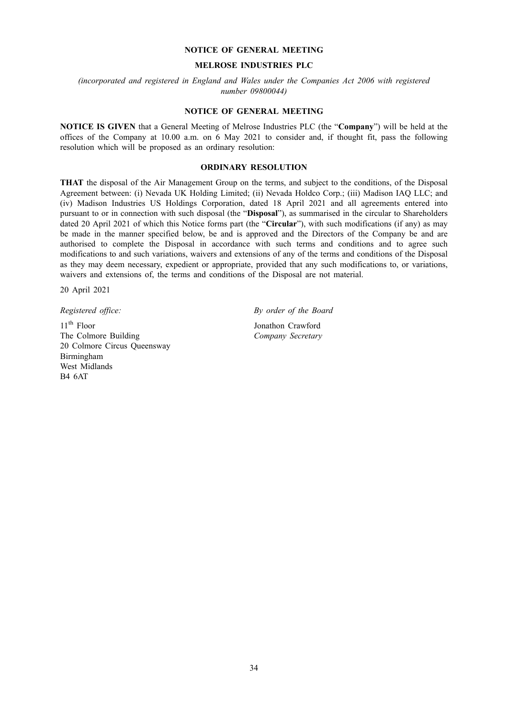#### **NOTICE OF GENERAL MEETING**

## **MELROSE INDUSTRIES PLC**

*(incorporated and registered in England and Wales under the Companies Act 2006 with registered number 09800044)*

## **NOTICE OF GENERAL MEETING**

**NOTICE IS GIVEN** that a General Meeting of Melrose Industries PLC (the "**Company**") will be held at the offices of the Company at 10.00 a.m. on 6 May 2021 to consider and, if thought fit, pass the following resolution which will be proposed as an ordinary resolution:

## **ORDINARY RESOLUTION**

**THAT** the disposal of the Air Management Group on the terms, and subject to the conditions, of the Disposal Agreement between: (i) Nevada UK Holding Limited; (ii) Nevada Holdco Corp.; (iii) Madison IAQ LLC; and (iv) Madison Industries US Holdings Corporation, dated 18 April 2021 and all agreements entered into pursuant to or in connection with such disposal (the "**Disposal**"), as summarised in the circular to Shareholders dated 20 April 2021 of which this Notice forms part (the "**Circular**"), with such modifications (if any) as may be made in the manner specified below, be and is approved and the Directors of the Company be and are authorised to complete the Disposal in accordance with such terms and conditions and to agree such modifications to and such variations, waivers and extensions of any of the terms and conditions of the Disposal as they may deem necessary, expedient or appropriate, provided that any such modifications to, or variations, waivers and extensions of, the terms and conditions of the Disposal are not material.

20 April 2021

 $11<sup>th</sup>$  Floor The Colmore Building 20 Colmore Circus Queensway Birmingham West Midlands B4 6AT

*Registered office: By order of the Board*

Jonathon Crawford *Company Secretary*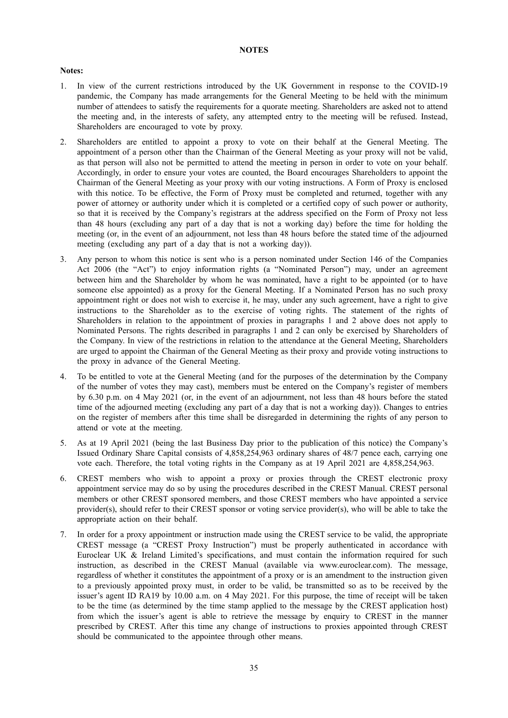#### **NOTES**

## **Notes:**

- 1. In view of the current restrictions introduced by the UK Government in response to the COVID-19 pandemic, the Company has made arrangements for the General Meeting to be held with the minimum number of attendees to satisfy the requirements for a quorate meeting. Shareholders are asked not to attend the meeting and, in the interests of safety, any attempted entry to the meeting will be refused. Instead, Shareholders are encouraged to vote by proxy.
- 2. Shareholders are entitled to appoint a proxy to vote on their behalf at the General Meeting. The appointment of a person other than the Chairman of the General Meeting as your proxy will not be valid, as that person will also not be permitted to attend the meeting in person in order to vote on your behalf. Accordingly, in order to ensure your votes are counted, the Board encourages Shareholders to appoint the Chairman of the General Meeting as your proxy with our voting instructions. A Form of Proxy is enclosed with this notice. To be effective, the Form of Proxy must be completed and returned, together with any power of attorney or authority under which it is completed or a certified copy of such power or authority, so that it is received by the Company's registrars at the address specified on the Form of Proxy not less than 48 hours (excluding any part of a day that is not a working day) before the time for holding the meeting (or, in the event of an adjournment, not less than 48 hours before the stated time of the adjourned meeting (excluding any part of a day that is not a working day)).
- 3. Any person to whom this notice is sent who is a person nominated under Section 146 of the Companies Act 2006 (the "Act") to enjoy information rights (a "Nominated Person") may, under an agreement between him and the Shareholder by whom he was nominated, have a right to be appointed (or to have someone else appointed) as a proxy for the General Meeting. If a Nominated Person has no such proxy appointment right or does not wish to exercise it, he may, under any such agreement, have a right to give instructions to the Shareholder as to the exercise of voting rights. The statement of the rights of Shareholders in relation to the appointment of proxies in paragraphs 1 and 2 above does not apply to Nominated Persons. The rights described in paragraphs 1 and 2 can only be exercised by Shareholders of the Company. In view of the restrictions in relation to the attendance at the General Meeting, Shareholders are urged to appoint the Chairman of the General Meeting as their proxy and provide voting instructions to the proxy in advance of the General Meeting.
- 4. To be entitled to vote at the General Meeting (and for the purposes of the determination by the Company of the number of votes they may cast), members must be entered on the Company's register of members by 6.30 p.m. on 4 May 2021 (or, in the event of an adjournment, not less than 48 hours before the stated time of the adjourned meeting (excluding any part of a day that is not a working day)). Changes to entries on the register of members after this time shall be disregarded in determining the rights of any person to attend or vote at the meeting.
- 5. As at 19 April 2021 (being the last Business Day prior to the publication of this notice) the Company's Issued Ordinary Share Capital consists of 4,858,254,963 ordinary shares of 48/7 pence each, carrying one vote each. Therefore, the total voting rights in the Company as at 19 April 2021 are 4,858,254,963.
- 6. CREST members who wish to appoint a proxy or proxies through the CREST electronic proxy appointment service may do so by using the procedures described in the CREST Manual. CREST personal members or other CREST sponsored members, and those CREST members who have appointed a service provider(s), should refer to their CREST sponsor or voting service provider(s), who will be able to take the appropriate action on their behalf.
- 7. In order for a proxy appointment or instruction made using the CREST service to be valid, the appropriate CREST message (a "CREST Proxy Instruction") must be properly authenticated in accordance with Euroclear UK & Ireland Limited's specifications, and must contain the information required for such instruction, as described in the CREST Manual (available via www.euroclear.com). The message, regardless of whether it constitutes the appointment of a proxy or is an amendment to the instruction given to a previously appointed proxy must, in order to be valid, be transmitted so as to be received by the issuer's agent ID RA19 by 10.00 a.m. on 4 May 2021. For this purpose, the time of receipt will be taken to be the time (as determined by the time stamp applied to the message by the CREST application host) from which the issuer's agent is able to retrieve the message by enquiry to CREST in the manner prescribed by CREST. After this time any change of instructions to proxies appointed through CREST should be communicated to the appointee through other means.